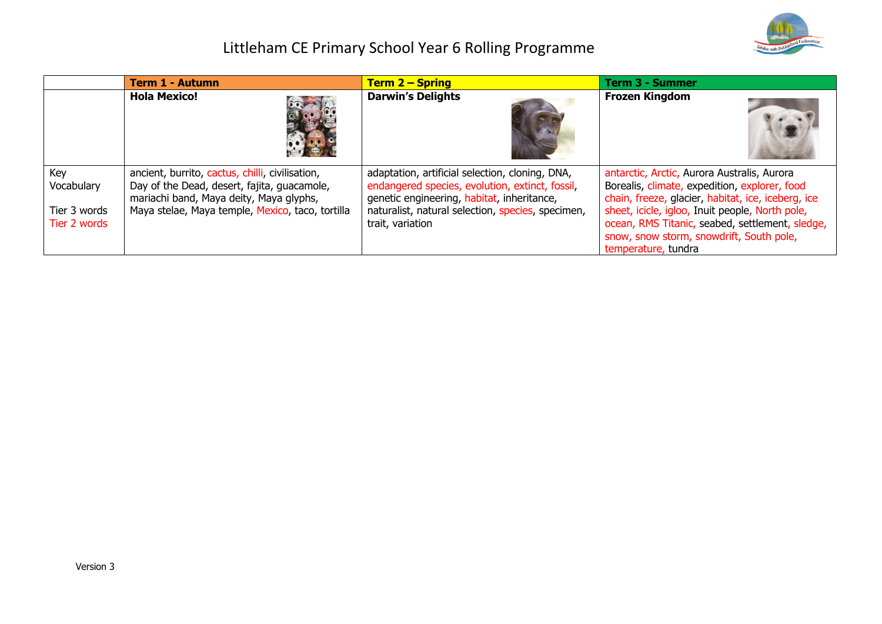

|                                                   | <b>Term 1 - Autumn</b>                                                                                                                                                                        | <b>Term 2 – Spring</b>                                                                                                                                                                                                    | Term 3 - Summer                                                                                                                                                                                                                                                                                      |
|---------------------------------------------------|-----------------------------------------------------------------------------------------------------------------------------------------------------------------------------------------------|---------------------------------------------------------------------------------------------------------------------------------------------------------------------------------------------------------------------------|------------------------------------------------------------------------------------------------------------------------------------------------------------------------------------------------------------------------------------------------------------------------------------------------------|
|                                                   | <b>Hola Mexico!</b>                                                                                                                                                                           | <b>Darwin's Delights</b>                                                                                                                                                                                                  | <b>Frozen Kingdom</b>                                                                                                                                                                                                                                                                                |
| Key<br>Vocabulary<br>Tier 3 words<br>Tier 2 words | ancient, burrito, cactus, chilli, civilisation,<br>Day of the Dead, desert, fajita, guacamole,<br>mariachi band, Maya deity, Maya glyphs,<br>Maya stelae, Maya temple, Mexico, taco, tortilla | adaptation, artificial selection, cloning, DNA,<br>endangered species, evolution, extinct, fossil,<br>genetic engineering, habitat, inheritance,<br>naturalist, natural selection, species, specimen,<br>trait, variation | antarctic, Arctic, Aurora Australis, Aurora<br>Borealis, climate, expedition, explorer, food<br>chain, freeze, glacier, habitat, ice, iceberg, ice<br>sheet, icicle, igloo, Inuit people, North pole,<br>ocean, RMS Titanic, seabed, settlement, sledge,<br>snow, snow storm, snowdrift, South pole, |
|                                                   |                                                                                                                                                                                               |                                                                                                                                                                                                                           | temperature, tundra                                                                                                                                                                                                                                                                                  |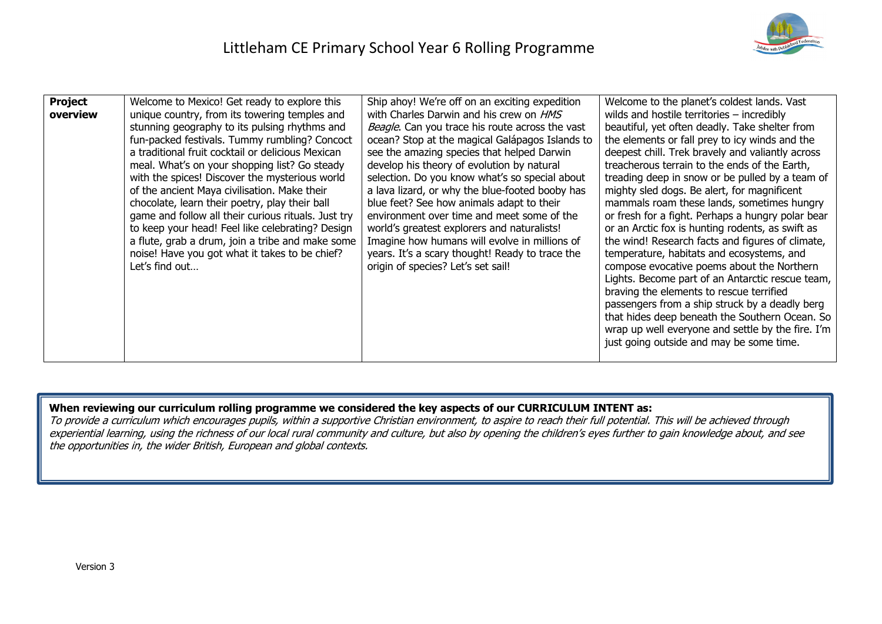

| <b>Project</b><br>overview | Welcome to Mexico! Get ready to explore this<br>unique country, from its towering temples and<br>stunning geography to its pulsing rhythms and<br>fun-packed festivals. Tummy rumbling? Concoct<br>a traditional fruit cocktail or delicious Mexican<br>meal. What's on your shopping list? Go steady<br>with the spices! Discover the mysterious world<br>of the ancient Maya civilisation. Make their<br>chocolate, learn their poetry, play their ball<br>game and follow all their curious rituals. Just try<br>to keep your head! Feel like celebrating? Design<br>a flute, grab a drum, join a tribe and make some<br>noise! Have you got what it takes to be chief?<br>Let's find out | Ship ahoy! We're off on an exciting expedition<br>with Charles Darwin and his crew on HMS<br>Beagle. Can you trace his route across the vast<br>ocean? Stop at the magical Galápagos Islands to<br>see the amazing species that helped Darwin<br>develop his theory of evolution by natural<br>selection. Do you know what's so special about<br>a lava lizard, or why the blue-footed booby has<br>blue feet? See how animals adapt to their<br>environment over time and meet some of the<br>world's greatest explorers and naturalists!<br>Imagine how humans will evolve in millions of<br>years. It's a scary thought! Ready to trace the<br>origin of species? Let's set sail! | Welcome to the planet's coldest lands. Vast<br>wilds and hostile territories - incredibly<br>beautiful, yet often deadly. Take shelter from<br>the elements or fall prey to icy winds and the<br>deepest chill. Trek bravely and valiantly across<br>treacherous terrain to the ends of the Earth,<br>treading deep in snow or be pulled by a team of<br>mighty sled dogs. Be alert, for magnificent<br>mammals roam these lands, sometimes hungry<br>or fresh for a fight. Perhaps a hungry polar bear<br>or an Arctic fox is hunting rodents, as swift as<br>the wind! Research facts and figures of climate,<br>temperature, habitats and ecosystems, and<br>compose evocative poems about the Northern<br>Lights. Become part of an Antarctic rescue team,<br>braving the elements to rescue terrified<br>passengers from a ship struck by a deadly berg<br>that hides deep beneath the Southern Ocean. So<br>wrap up well everyone and settle by the fire. I'm<br>just going outside and may be some time. |
|----------------------------|----------------------------------------------------------------------------------------------------------------------------------------------------------------------------------------------------------------------------------------------------------------------------------------------------------------------------------------------------------------------------------------------------------------------------------------------------------------------------------------------------------------------------------------------------------------------------------------------------------------------------------------------------------------------------------------------|--------------------------------------------------------------------------------------------------------------------------------------------------------------------------------------------------------------------------------------------------------------------------------------------------------------------------------------------------------------------------------------------------------------------------------------------------------------------------------------------------------------------------------------------------------------------------------------------------------------------------------------------------------------------------------------|-----------------------------------------------------------------------------------------------------------------------------------------------------------------------------------------------------------------------------------------------------------------------------------------------------------------------------------------------------------------------------------------------------------------------------------------------------------------------------------------------------------------------------------------------------------------------------------------------------------------------------------------------------------------------------------------------------------------------------------------------------------------------------------------------------------------------------------------------------------------------------------------------------------------------------------------------------------------------------------------------------------------|

### **When reviewing our curriculum rolling programme we considered the key aspects of our CURRICULUM INTENT as:**

To provide a curriculum which encourages pupils, within a supportive Christian environment, to aspire to reach their full potential. This will be achieved through experiential learning, using the richness of our local rural community and culture, but also by opening the children's eyes further to gain knowledge about, and see the opportunities in, the wider British, European and global contexts.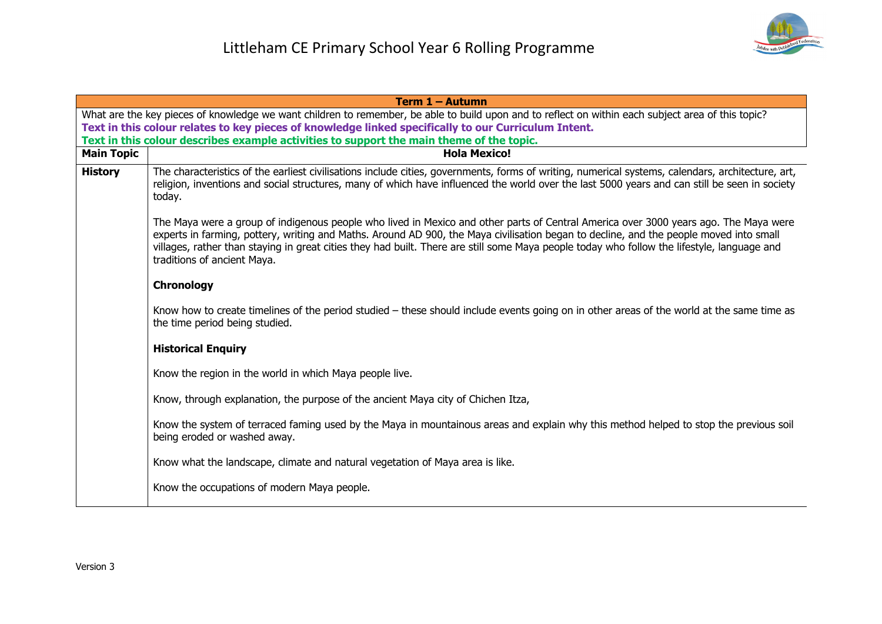|                                                                                                                                                    | Term 1 - Autumn                                                                                                                                                                                                                                                                                                                                                                                                                                              |  |
|----------------------------------------------------------------------------------------------------------------------------------------------------|--------------------------------------------------------------------------------------------------------------------------------------------------------------------------------------------------------------------------------------------------------------------------------------------------------------------------------------------------------------------------------------------------------------------------------------------------------------|--|
| What are the key pieces of knowledge we want children to remember, be able to build upon and to reflect on within each subject area of this topic? |                                                                                                                                                                                                                                                                                                                                                                                                                                                              |  |
|                                                                                                                                                    | Text in this colour relates to key pieces of knowledge linked specifically to our Curriculum Intent.                                                                                                                                                                                                                                                                                                                                                         |  |
|                                                                                                                                                    | Text in this colour describes example activities to support the main theme of the topic.                                                                                                                                                                                                                                                                                                                                                                     |  |
| <b>Main Topic</b>                                                                                                                                  | <b>Hola Mexico!</b>                                                                                                                                                                                                                                                                                                                                                                                                                                          |  |
| <b>History</b>                                                                                                                                     | The characteristics of the earliest civilisations include cities, governments, forms of writing, numerical systems, calendars, architecture, art,<br>religion, inventions and social structures, many of which have influenced the world over the last 5000 years and can still be seen in society<br>today.                                                                                                                                                 |  |
|                                                                                                                                                    | The Maya were a group of indigenous people who lived in Mexico and other parts of Central America over 3000 years ago. The Maya were<br>experts in farming, pottery, writing and Maths. Around AD 900, the Maya civilisation began to decline, and the people moved into small<br>villages, rather than staying in great cities they had built. There are still some Maya people today who follow the lifestyle, language and<br>traditions of ancient Maya. |  |
|                                                                                                                                                    | <b>Chronology</b>                                                                                                                                                                                                                                                                                                                                                                                                                                            |  |
|                                                                                                                                                    | Know how to create timelines of the period studied – these should include events going on in other areas of the world at the same time as<br>the time period being studied.                                                                                                                                                                                                                                                                                  |  |
|                                                                                                                                                    | <b>Historical Enquiry</b>                                                                                                                                                                                                                                                                                                                                                                                                                                    |  |
|                                                                                                                                                    | Know the region in the world in which Maya people live.                                                                                                                                                                                                                                                                                                                                                                                                      |  |
|                                                                                                                                                    | Know, through explanation, the purpose of the ancient Maya city of Chichen Itza,                                                                                                                                                                                                                                                                                                                                                                             |  |
|                                                                                                                                                    | Know the system of terraced faming used by the Maya in mountainous areas and explain why this method helped to stop the previous soil<br>being eroded or washed away.                                                                                                                                                                                                                                                                                        |  |
|                                                                                                                                                    | Know what the landscape, climate and natural vegetation of Maya area is like.                                                                                                                                                                                                                                                                                                                                                                                |  |
|                                                                                                                                                    | Know the occupations of modern Maya people.                                                                                                                                                                                                                                                                                                                                                                                                                  |  |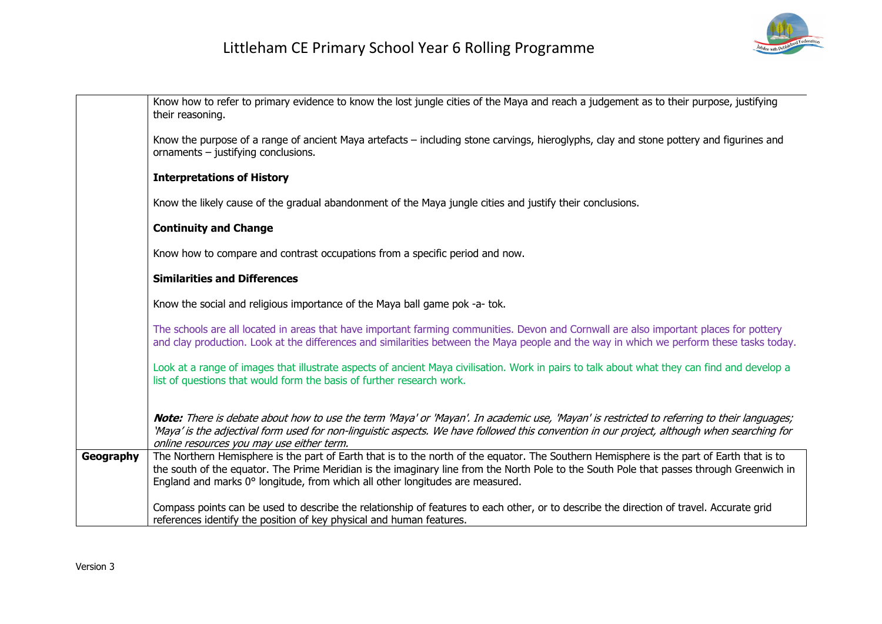

|           | Know how to refer to primary evidence to know the lost jungle cities of the Maya and reach a judgement as to their purpose, justifying<br>their reasoning.                                                                                                                                                                                                              |
|-----------|-------------------------------------------------------------------------------------------------------------------------------------------------------------------------------------------------------------------------------------------------------------------------------------------------------------------------------------------------------------------------|
|           | Know the purpose of a range of ancient Maya artefacts – including stone carvings, hieroglyphs, clay and stone pottery and figurines and<br>ornaments $-$ justifying conclusions.                                                                                                                                                                                        |
|           | <b>Interpretations of History</b>                                                                                                                                                                                                                                                                                                                                       |
|           | Know the likely cause of the gradual abandonment of the Maya jungle cities and justify their conclusions.                                                                                                                                                                                                                                                               |
|           | <b>Continuity and Change</b>                                                                                                                                                                                                                                                                                                                                            |
|           | Know how to compare and contrast occupations from a specific period and now.                                                                                                                                                                                                                                                                                            |
|           | <b>Similarities and Differences</b>                                                                                                                                                                                                                                                                                                                                     |
|           | Know the social and religious importance of the Maya ball game pok -a- tok.                                                                                                                                                                                                                                                                                             |
|           | The schools are all located in areas that have important farming communities. Devon and Cornwall are also important places for pottery<br>and clay production. Look at the differences and similarities between the Maya people and the way in which we perform these tasks today.                                                                                      |
|           | Look at a range of images that illustrate aspects of ancient Maya civilisation. Work in pairs to talk about what they can find and develop a<br>list of questions that would form the basis of further research work.                                                                                                                                                   |
|           | Note: There is debate about how to use the term 'Maya' or 'Mayan'. In academic use, 'Mayan' is restricted to referring to their languages;<br>'Maya' is the adjectival form used for non-linguistic aspects. We have followed this convention in our project, although when searching for<br>online resources you may use either term.                                  |
| Geography | The Northern Hemisphere is the part of Earth that is to the north of the equator. The Southern Hemisphere is the part of Earth that is to<br>the south of the equator. The Prime Meridian is the imaginary line from the North Pole to the South Pole that passes through Greenwich in<br>England and marks 0° longitude, from which all other longitudes are measured. |
|           | Compass points can be used to describe the relationship of features to each other, or to describe the direction of travel. Accurate grid<br>references identify the position of key physical and human features.                                                                                                                                                        |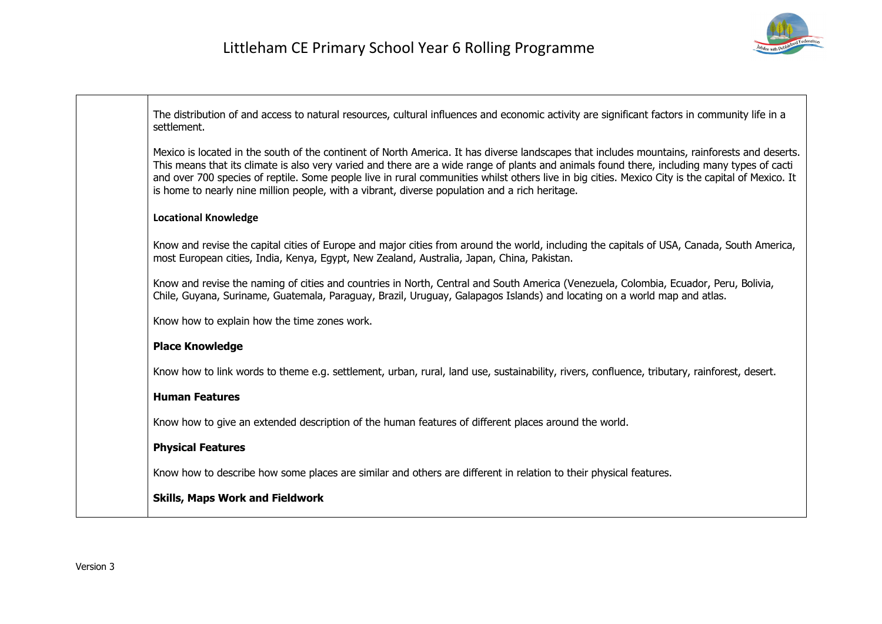

| The distribution of and access to natural resources, cultural influences and economic activity are significant factors in community life in a<br>settlement.                                                                                                                                                                                                                                                                                                                                                                                        |
|-----------------------------------------------------------------------------------------------------------------------------------------------------------------------------------------------------------------------------------------------------------------------------------------------------------------------------------------------------------------------------------------------------------------------------------------------------------------------------------------------------------------------------------------------------|
| Mexico is located in the south of the continent of North America. It has diverse landscapes that includes mountains, rainforests and deserts.<br>This means that its climate is also very varied and there are a wide range of plants and animals found there, including many types of cacti<br>and over 700 species of reptile. Some people live in rural communities whilst others live in big cities. Mexico City is the capital of Mexico. It<br>is home to nearly nine million people, with a vibrant, diverse population and a rich heritage. |
| <b>Locational Knowledge</b>                                                                                                                                                                                                                                                                                                                                                                                                                                                                                                                         |
| Know and revise the capital cities of Europe and major cities from around the world, including the capitals of USA, Canada, South America,<br>most European cities, India, Kenya, Egypt, New Zealand, Australia, Japan, China, Pakistan.                                                                                                                                                                                                                                                                                                            |
| Know and revise the naming of cities and countries in North, Central and South America (Venezuela, Colombia, Ecuador, Peru, Bolivia,<br>Chile, Guyana, Suriname, Guatemala, Paraguay, Brazil, Uruguay, Galapagos Islands) and locating on a world map and atlas.                                                                                                                                                                                                                                                                                    |
| Know how to explain how the time zones work.                                                                                                                                                                                                                                                                                                                                                                                                                                                                                                        |
| <b>Place Knowledge</b>                                                                                                                                                                                                                                                                                                                                                                                                                                                                                                                              |
| Know how to link words to theme e.g. settlement, urban, rural, land use, sustainability, rivers, confluence, tributary, rainforest, desert.                                                                                                                                                                                                                                                                                                                                                                                                         |
| <b>Human Features</b>                                                                                                                                                                                                                                                                                                                                                                                                                                                                                                                               |
| Know how to give an extended description of the human features of different places around the world.                                                                                                                                                                                                                                                                                                                                                                                                                                                |
| <b>Physical Features</b>                                                                                                                                                                                                                                                                                                                                                                                                                                                                                                                            |
| Know how to describe how some places are similar and others are different in relation to their physical features.                                                                                                                                                                                                                                                                                                                                                                                                                                   |
| <b>Skills, Maps Work and Fieldwork</b>                                                                                                                                                                                                                                                                                                                                                                                                                                                                                                              |
|                                                                                                                                                                                                                                                                                                                                                                                                                                                                                                                                                     |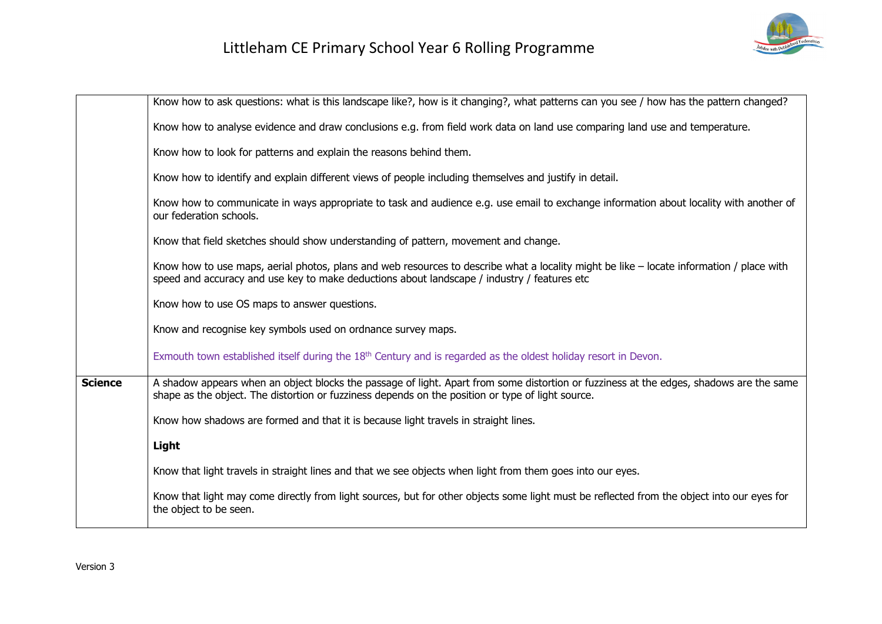

|                | Know how to ask questions: what is this landscape like?, how is it changing?, what patterns can you see / how has the pattern changed?                                                                                                       |
|----------------|----------------------------------------------------------------------------------------------------------------------------------------------------------------------------------------------------------------------------------------------|
|                | Know how to analyse evidence and draw conclusions e.g. from field work data on land use comparing land use and temperature.                                                                                                                  |
|                | Know how to look for patterns and explain the reasons behind them.                                                                                                                                                                           |
|                | Know how to identify and explain different views of people including themselves and justify in detail.                                                                                                                                       |
|                | Know how to communicate in ways appropriate to task and audience e.g. use email to exchange information about locality with another of<br>our federation schools.                                                                            |
|                | Know that field sketches should show understanding of pattern, movement and change.                                                                                                                                                          |
|                | Know how to use maps, aerial photos, plans and web resources to describe what a locality might be like - locate information / place with<br>speed and accuracy and use key to make deductions about landscape / industry / features etc      |
|                | Know how to use OS maps to answer questions.                                                                                                                                                                                                 |
|                | Know and recognise key symbols used on ordnance survey maps.                                                                                                                                                                                 |
|                | Exmouth town established itself during the $18th$ Century and is regarded as the oldest holiday resort in Devon.                                                                                                                             |
| <b>Science</b> | A shadow appears when an object blocks the passage of light. Apart from some distortion or fuzziness at the edges, shadows are the same<br>shape as the object. The distortion or fuzziness depends on the position or type of light source. |
|                | Know how shadows are formed and that it is because light travels in straight lines.                                                                                                                                                          |
|                | Light                                                                                                                                                                                                                                        |
|                | Know that light travels in straight lines and that we see objects when light from them goes into our eyes.                                                                                                                                   |
|                | Know that light may come directly from light sources, but for other objects some light must be reflected from the object into our eyes for<br>the object to be seen.                                                                         |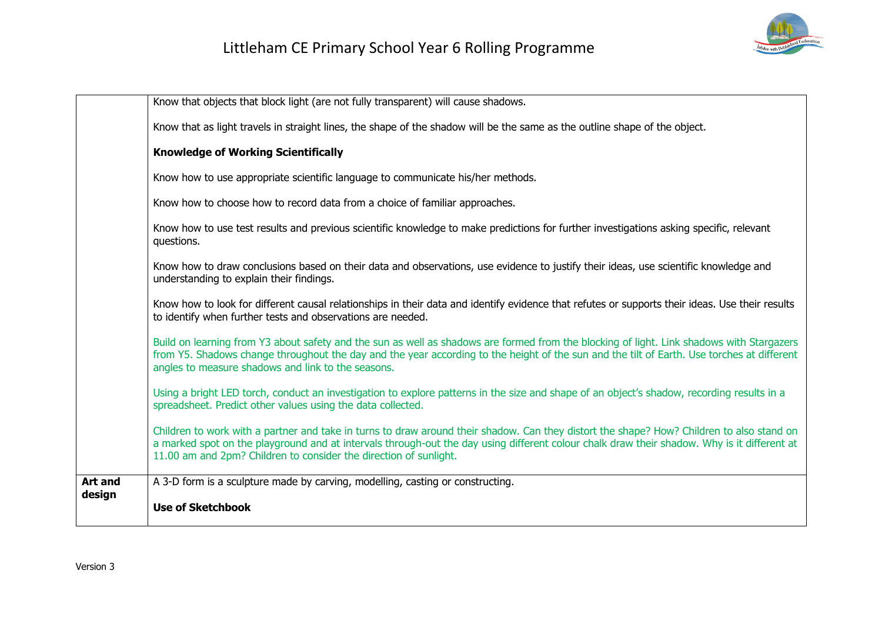

|                          | Know that objects that block light (are not fully transparent) will cause shadows.                                                                                                                                                                                                                                                                            |
|--------------------------|---------------------------------------------------------------------------------------------------------------------------------------------------------------------------------------------------------------------------------------------------------------------------------------------------------------------------------------------------------------|
|                          | Know that as light travels in straight lines, the shape of the shadow will be the same as the outline shape of the object.                                                                                                                                                                                                                                    |
|                          | <b>Knowledge of Working Scientifically</b>                                                                                                                                                                                                                                                                                                                    |
|                          | Know how to use appropriate scientific language to communicate his/her methods.                                                                                                                                                                                                                                                                               |
|                          | Know how to choose how to record data from a choice of familiar approaches.                                                                                                                                                                                                                                                                                   |
|                          | Know how to use test results and previous scientific knowledge to make predictions for further investigations asking specific, relevant<br>questions.                                                                                                                                                                                                         |
|                          | Know how to draw conclusions based on their data and observations, use evidence to justify their ideas, use scientific knowledge and<br>understanding to explain their findings.                                                                                                                                                                              |
|                          | Know how to look for different causal relationships in their data and identify evidence that refutes or supports their ideas. Use their results<br>to identify when further tests and observations are needed.                                                                                                                                                |
|                          | Build on learning from Y3 about safety and the sun as well as shadows are formed from the blocking of light. Link shadows with Stargazers<br>from Y5. Shadows change throughout the day and the year according to the height of the sun and the tilt of Earth. Use torches at different<br>angles to measure shadows and link to the seasons.                 |
|                          | Using a bright LED torch, conduct an investigation to explore patterns in the size and shape of an object's shadow, recording results in a<br>spreadsheet. Predict other values using the data collected.                                                                                                                                                     |
|                          | Children to work with a partner and take in turns to draw around their shadow. Can they distort the shape? How? Children to also stand on<br>a marked spot on the playground and at intervals through-out the day using different colour chalk draw their shadow. Why is it different at<br>11.00 am and 2pm? Children to consider the direction of sunlight. |
| <b>Art and</b><br>design | A 3-D form is a sculpture made by carving, modelling, casting or constructing.                                                                                                                                                                                                                                                                                |
|                          | <b>Use of Sketchbook</b>                                                                                                                                                                                                                                                                                                                                      |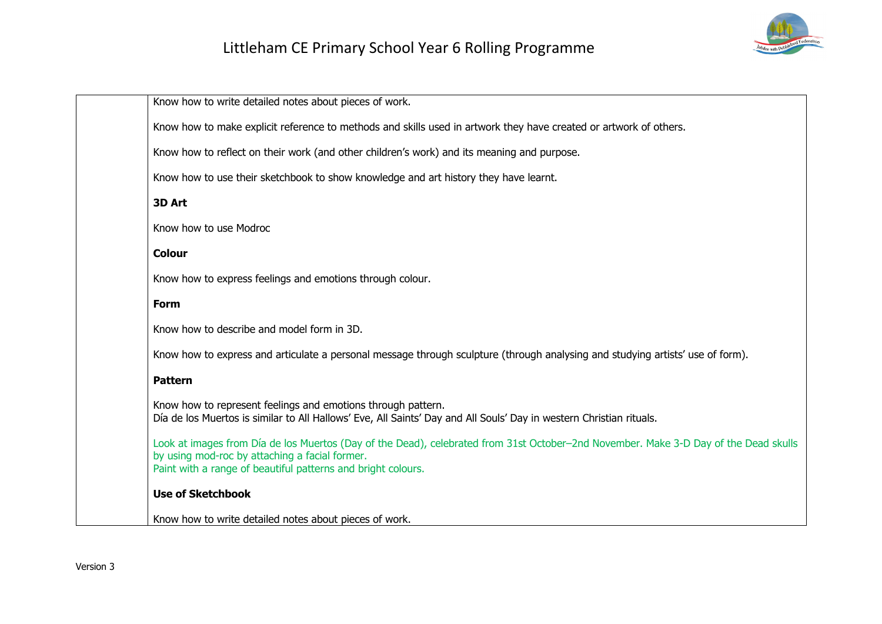

| Know how to write detailed notes about pieces of work.                                                                                                                                                                                                 |
|--------------------------------------------------------------------------------------------------------------------------------------------------------------------------------------------------------------------------------------------------------|
| Know how to make explicit reference to methods and skills used in artwork they have created or artwork of others.                                                                                                                                      |
| Know how to reflect on their work (and other children's work) and its meaning and purpose.                                                                                                                                                             |
| Know how to use their sketchbook to show knowledge and art history they have learnt.                                                                                                                                                                   |
| 3D Art                                                                                                                                                                                                                                                 |
| Know how to use Modroc                                                                                                                                                                                                                                 |
| <b>Colour</b>                                                                                                                                                                                                                                          |
| Know how to express feelings and emotions through colour.                                                                                                                                                                                              |
| <b>Form</b>                                                                                                                                                                                                                                            |
| Know how to describe and model form in 3D.                                                                                                                                                                                                             |
| Know how to express and articulate a personal message through sculpture (through analysing and studying artists' use of form).                                                                                                                         |
| <b>Pattern</b>                                                                                                                                                                                                                                         |
| Know how to represent feelings and emotions through pattern.<br>Día de los Muertos is similar to All Hallows' Eve, All Saints' Day and All Souls' Day in western Christian rituals.                                                                    |
| Look at images from Día de los Muertos (Day of the Dead), celebrated from 31st October-2nd November. Make 3-D Day of the Dead skulls<br>by using mod-roc by attaching a facial former.<br>Paint with a range of beautiful patterns and bright colours. |
| <b>Use of Sketchbook</b>                                                                                                                                                                                                                               |
| Know how to write detailed notes about pieces of work.                                                                                                                                                                                                 |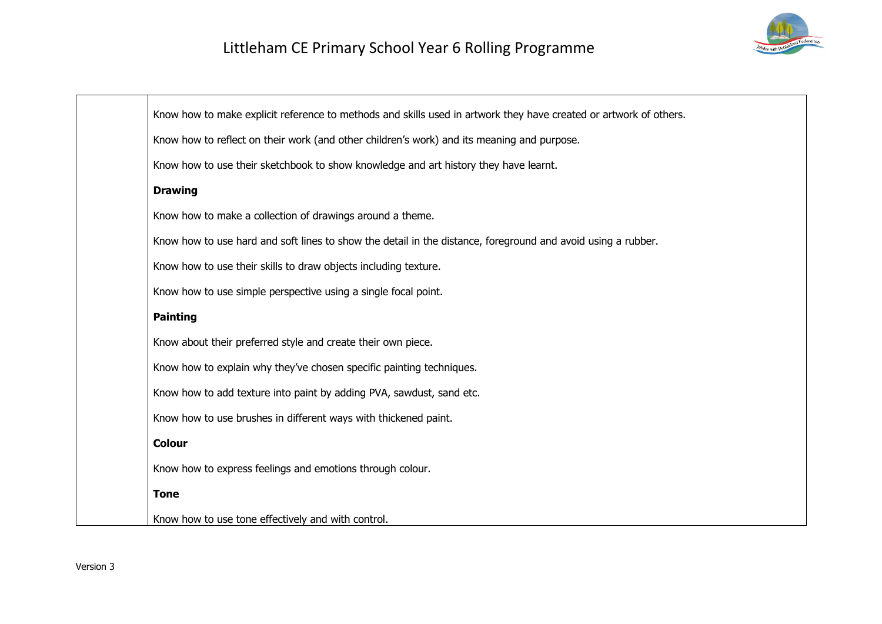

| Know how to make explicit reference to methods and skills used in artwork they have created or artwork of others. |
|-------------------------------------------------------------------------------------------------------------------|
| Know how to reflect on their work (and other children's work) and its meaning and purpose.                        |
| Know how to use their sketchbook to show knowledge and art history they have learnt.                              |
| <b>Drawing</b>                                                                                                    |
| Know how to make a collection of drawings around a theme.                                                         |
| Know how to use hard and soft lines to show the detail in the distance, foreground and avoid using a rubber.      |
| Know how to use their skills to draw objects including texture.                                                   |
| Know how to use simple perspective using a single focal point.                                                    |
| <b>Painting</b>                                                                                                   |
| Know about their preferred style and create their own piece.                                                      |
| Know how to explain why they've chosen specific painting techniques.                                              |
| Know how to add texture into paint by adding PVA, sawdust, sand etc.                                              |
| Know how to use brushes in different ways with thickened paint.                                                   |
| <b>Colour</b>                                                                                                     |
| Know how to express feelings and emotions through colour.                                                         |
| <b>Tone</b>                                                                                                       |
| Know how to use tone effectively and with control.                                                                |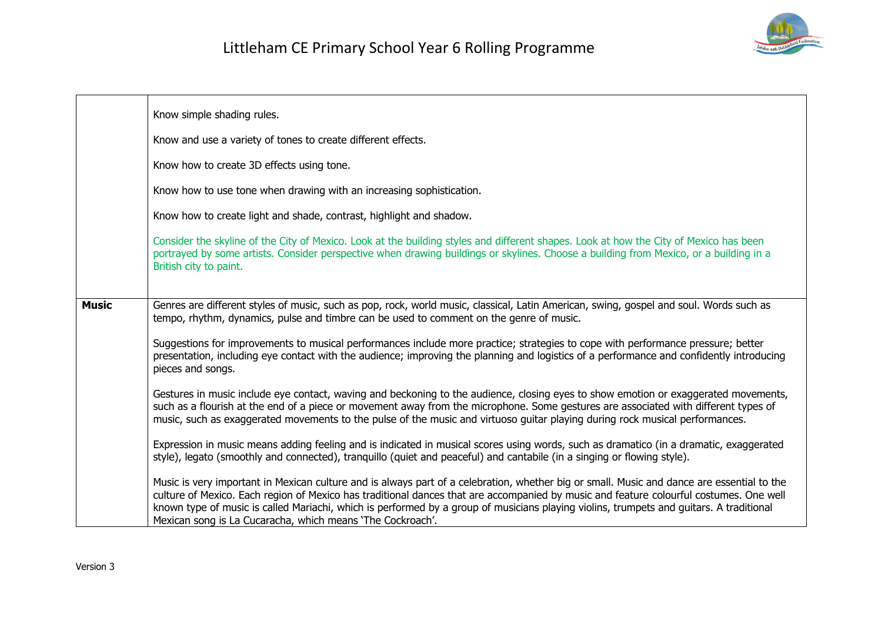

|              | Know simple shading rules.                                                                                                                                                                                                                                                                                                                                                                                                                                                                    |  |
|--------------|-----------------------------------------------------------------------------------------------------------------------------------------------------------------------------------------------------------------------------------------------------------------------------------------------------------------------------------------------------------------------------------------------------------------------------------------------------------------------------------------------|--|
|              | Know and use a variety of tones to create different effects.                                                                                                                                                                                                                                                                                                                                                                                                                                  |  |
|              | Know how to create 3D effects using tone.                                                                                                                                                                                                                                                                                                                                                                                                                                                     |  |
|              | Know how to use tone when drawing with an increasing sophistication.                                                                                                                                                                                                                                                                                                                                                                                                                          |  |
|              | Know how to create light and shade, contrast, highlight and shadow.                                                                                                                                                                                                                                                                                                                                                                                                                           |  |
|              | Consider the skyline of the City of Mexico. Look at the building styles and different shapes. Look at how the City of Mexico has been<br>portrayed by some artists. Consider perspective when drawing buildings or skylines. Choose a building from Mexico, or a building in a<br>British city to paint.                                                                                                                                                                                      |  |
| <b>Music</b> | Genres are different styles of music, such as pop, rock, world music, classical, Latin American, swing, gospel and soul. Words such as                                                                                                                                                                                                                                                                                                                                                        |  |
|              | tempo, rhythm, dynamics, pulse and timbre can be used to comment on the genre of music.                                                                                                                                                                                                                                                                                                                                                                                                       |  |
|              | Suggestions for improvements to musical performances include more practice; strategies to cope with performance pressure; better<br>presentation, including eye contact with the audience; improving the planning and logistics of a performance and confidently introducing<br>pieces and songs.                                                                                                                                                                                             |  |
|              | Gestures in music include eye contact, waving and beckoning to the audience, closing eyes to show emotion or exaggerated movements,<br>such as a flourish at the end of a piece or movement away from the microphone. Some gestures are associated with different types of<br>music, such as exaggerated movements to the pulse of the music and virtuoso guitar playing during rock musical performances.                                                                                    |  |
|              | Expression in music means adding feeling and is indicated in musical scores using words, such as dramatico (in a dramatic, exaggerated<br>style), legato (smoothly and connected), tranquillo (quiet and peaceful) and cantabile (in a singing or flowing style).                                                                                                                                                                                                                             |  |
|              | Music is very important in Mexican culture and is always part of a celebration, whether big or small. Music and dance are essential to the<br>culture of Mexico. Each region of Mexico has traditional dances that are accompanied by music and feature colourful costumes. One well<br>known type of music is called Mariachi, which is performed by a group of musicians playing violins, trumpets and guitars. A traditional<br>Mexican song is La Cucaracha, which means 'The Cockroach'. |  |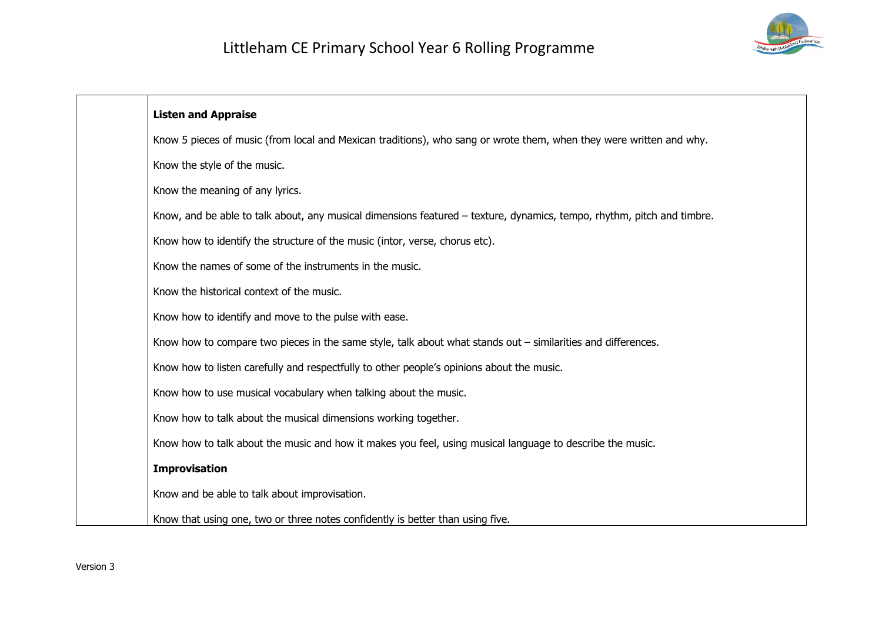

| <b>Listen and Appraise</b>                                                                                             |
|------------------------------------------------------------------------------------------------------------------------|
| Know 5 pieces of music (from local and Mexican traditions), who sang or wrote them, when they were written and why.    |
| Know the style of the music.                                                                                           |
| Know the meaning of any lyrics.                                                                                        |
| Know, and be able to talk about, any musical dimensions featured – texture, dynamics, tempo, rhythm, pitch and timbre. |
| Know how to identify the structure of the music (intor, verse, chorus etc).                                            |
| Know the names of some of the instruments in the music.                                                                |
| Know the historical context of the music.                                                                              |
| Know how to identify and move to the pulse with ease.                                                                  |
| Know how to compare two pieces in the same style, talk about what stands out – similarities and differences.           |
| Know how to listen carefully and respectfully to other people's opinions about the music.                              |
| Know how to use musical vocabulary when talking about the music.                                                       |
| Know how to talk about the musical dimensions working together.                                                        |
| Know how to talk about the music and how it makes you feel, using musical language to describe the music.              |
| <b>Improvisation</b>                                                                                                   |
| Know and be able to talk about improvisation.                                                                          |
| Know that using one, two or three notes confidently is better than using five.                                         |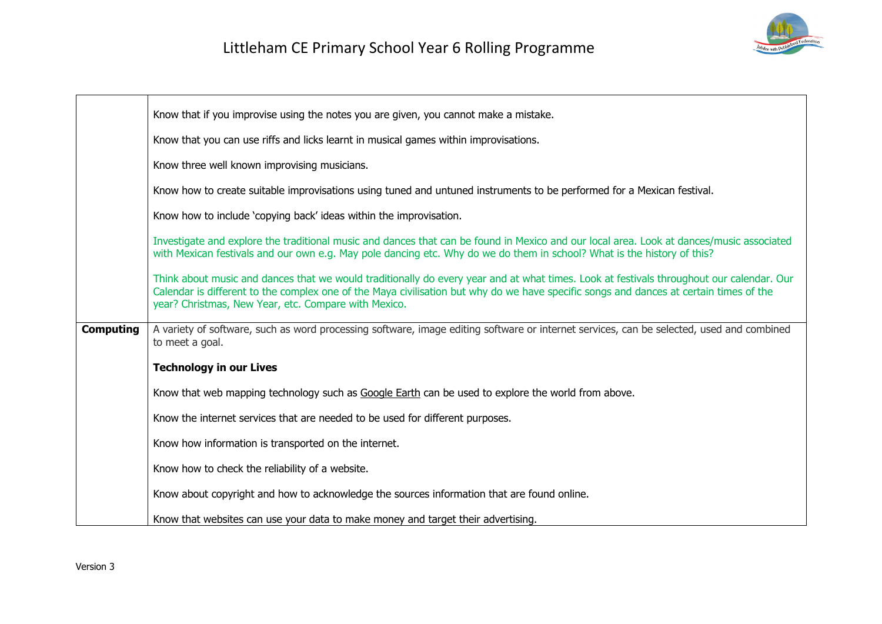

|                  | Know that if you improvise using the notes you are given, you cannot make a mistake.                                                                                                                                                                                                                                                       |
|------------------|--------------------------------------------------------------------------------------------------------------------------------------------------------------------------------------------------------------------------------------------------------------------------------------------------------------------------------------------|
|                  | Know that you can use riffs and licks learnt in musical games within improvisations.                                                                                                                                                                                                                                                       |
|                  | Know three well known improvising musicians.                                                                                                                                                                                                                                                                                               |
|                  | Know how to create suitable improvisations using tuned and untuned instruments to be performed for a Mexican festival.                                                                                                                                                                                                                     |
|                  | Know how to include 'copying back' ideas within the improvisation.                                                                                                                                                                                                                                                                         |
|                  | Investigate and explore the traditional music and dances that can be found in Mexico and our local area. Look at dances/music associated<br>with Mexican festivals and our own e.g. May pole dancing etc. Why do we do them in school? What is the history of this?                                                                        |
|                  | Think about music and dances that we would traditionally do every year and at what times. Look at festivals throughout our calendar. Our<br>Calendar is different to the complex one of the Maya civilisation but why do we have specific songs and dances at certain times of the<br>year? Christmas, New Year, etc. Compare with Mexico. |
| <b>Computing</b> | A variety of software, such as word processing software, image editing software or internet services, can be selected, used and combined<br>to meet a goal.                                                                                                                                                                                |
|                  | <b>Technology in our Lives</b>                                                                                                                                                                                                                                                                                                             |
|                  | Know that web mapping technology such as Google Earth can be used to explore the world from above.                                                                                                                                                                                                                                         |
|                  | Know the internet services that are needed to be used for different purposes.                                                                                                                                                                                                                                                              |
|                  | Know how information is transported on the internet.                                                                                                                                                                                                                                                                                       |
|                  | Know how to check the reliability of a website.                                                                                                                                                                                                                                                                                            |
|                  | Know about copyright and how to acknowledge the sources information that are found online.                                                                                                                                                                                                                                                 |
|                  | Know that websites can use your data to make money and target their advertising.                                                                                                                                                                                                                                                           |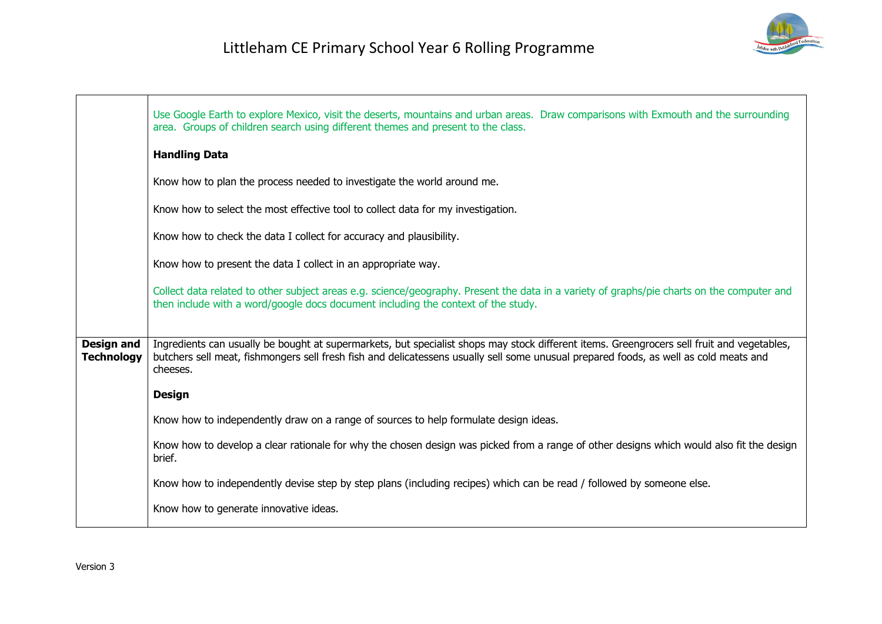

|                                        | Use Google Earth to explore Mexico, visit the deserts, mountains and urban areas. Draw comparisons with Exmouth and the surrounding<br>area. Groups of children search using different themes and present to the class.                                                                         |
|----------------------------------------|-------------------------------------------------------------------------------------------------------------------------------------------------------------------------------------------------------------------------------------------------------------------------------------------------|
|                                        | <b>Handling Data</b>                                                                                                                                                                                                                                                                            |
|                                        | Know how to plan the process needed to investigate the world around me.                                                                                                                                                                                                                         |
|                                        | Know how to select the most effective tool to collect data for my investigation.                                                                                                                                                                                                                |
|                                        | Know how to check the data I collect for accuracy and plausibility.                                                                                                                                                                                                                             |
|                                        | Know how to present the data I collect in an appropriate way.                                                                                                                                                                                                                                   |
|                                        | Collect data related to other subject areas e.g. science/geography. Present the data in a variety of graphs/pie charts on the computer and<br>then include with a word/google docs document including the context of the study.                                                                 |
|                                        |                                                                                                                                                                                                                                                                                                 |
| <b>Design and</b><br><b>Technology</b> | Ingredients can usually be bought at supermarkets, but specialist shops may stock different items. Greengrocers sell fruit and vegetables,<br>butchers sell meat, fishmongers sell fresh fish and delicatessens usually sell some unusual prepared foods, as well as cold meats and<br>cheeses. |
|                                        | <b>Design</b>                                                                                                                                                                                                                                                                                   |
|                                        | Know how to independently draw on a range of sources to help formulate design ideas.                                                                                                                                                                                                            |
|                                        | Know how to develop a clear rationale for why the chosen design was picked from a range of other designs which would also fit the design<br>brief.                                                                                                                                              |
|                                        | Know how to independently devise step by step plans (including recipes) which can be read / followed by someone else.                                                                                                                                                                           |
|                                        | Know how to generate innovative ideas.                                                                                                                                                                                                                                                          |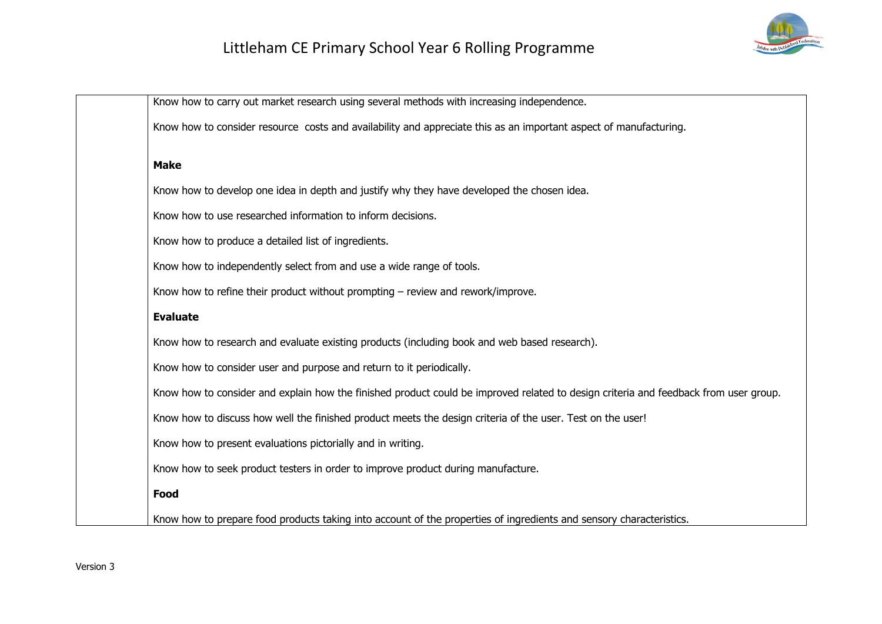

| Know how to carry out market research using several methods with increasing independence.                                            |
|--------------------------------------------------------------------------------------------------------------------------------------|
| Know how to consider resource costs and availability and appreciate this as an important aspect of manufacturing.                    |
|                                                                                                                                      |
| <b>Make</b>                                                                                                                          |
| Know how to develop one idea in depth and justify why they have developed the chosen idea.                                           |
| Know how to use researched information to inform decisions.                                                                          |
| Know how to produce a detailed list of ingredients.                                                                                  |
| Know how to independently select from and use a wide range of tools.                                                                 |
| Know how to refine their product without prompting - review and rework/improve.                                                      |
| <b>Evaluate</b>                                                                                                                      |
| Know how to research and evaluate existing products (including book and web based research).                                         |
| Know how to consider user and purpose and return to it periodically.                                                                 |
| Know how to consider and explain how the finished product could be improved related to design criteria and feedback from user group. |
| Know how to discuss how well the finished product meets the design criteria of the user. Test on the user!                           |
| Know how to present evaluations pictorially and in writing.                                                                          |
| Know how to seek product testers in order to improve product during manufacture.                                                     |
| Food                                                                                                                                 |
| Know how to prepare food products taking into account of the properties of ingredients and sensory characteristics.                  |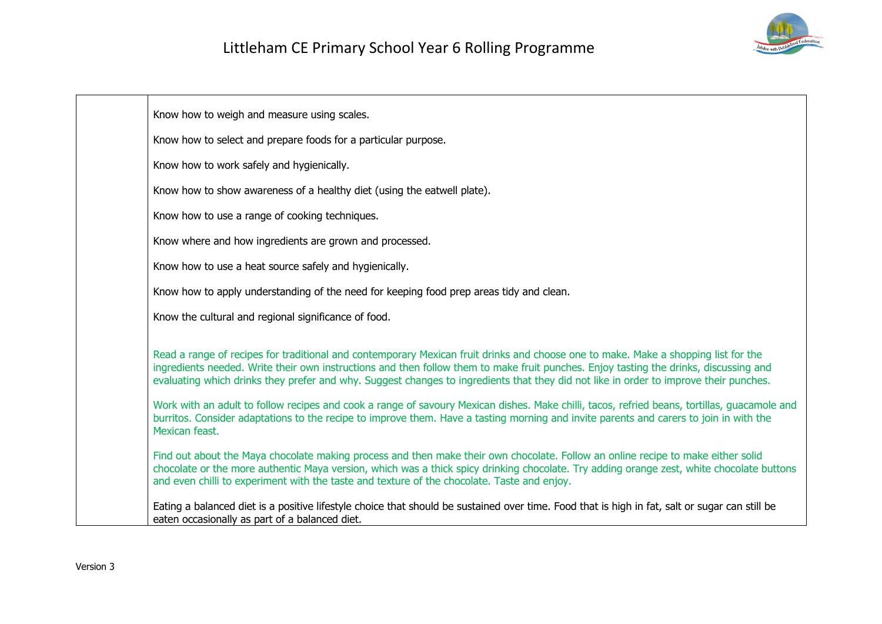

| Know how to weigh and measure using scales.                                                                                                                                                                                                                                                                                                                                                                          |
|----------------------------------------------------------------------------------------------------------------------------------------------------------------------------------------------------------------------------------------------------------------------------------------------------------------------------------------------------------------------------------------------------------------------|
| Know how to select and prepare foods for a particular purpose.                                                                                                                                                                                                                                                                                                                                                       |
| Know how to work safely and hygienically.                                                                                                                                                                                                                                                                                                                                                                            |
| Know how to show awareness of a healthy diet (using the eatwell plate).                                                                                                                                                                                                                                                                                                                                              |
| Know how to use a range of cooking techniques.                                                                                                                                                                                                                                                                                                                                                                       |
| Know where and how ingredients are grown and processed.                                                                                                                                                                                                                                                                                                                                                              |
| Know how to use a heat source safely and hygienically.                                                                                                                                                                                                                                                                                                                                                               |
| Know how to apply understanding of the need for keeping food prep areas tidy and clean.                                                                                                                                                                                                                                                                                                                              |
| Know the cultural and regional significance of food.                                                                                                                                                                                                                                                                                                                                                                 |
| Read a range of recipes for traditional and contemporary Mexican fruit drinks and choose one to make. Make a shopping list for the<br>ingredients needed. Write their own instructions and then follow them to make fruit punches. Enjoy tasting the drinks, discussing and<br>evaluating which drinks they prefer and why. Suggest changes to ingredients that they did not like in order to improve their punches. |
| Work with an adult to follow recipes and cook a range of savoury Mexican dishes. Make chilli, tacos, refried beans, tortillas, guacamole and<br>burritos. Consider adaptations to the recipe to improve them. Have a tasting morning and invite parents and carers to join in with the<br>Mexican feast.                                                                                                             |
| Find out about the Maya chocolate making process and then make their own chocolate. Follow an online recipe to make either solid<br>chocolate or the more authentic Maya version, which was a thick spicy drinking chocolate. Try adding orange zest, white chocolate buttons<br>and even chilli to experiment with the taste and texture of the chocolate. Taste and enjoy.                                         |
| Eating a balanced diet is a positive lifestyle choice that should be sustained over time. Food that is high in fat, salt or sugar can still be<br>eaten occasionally as part of a balanced diet.                                                                                                                                                                                                                     |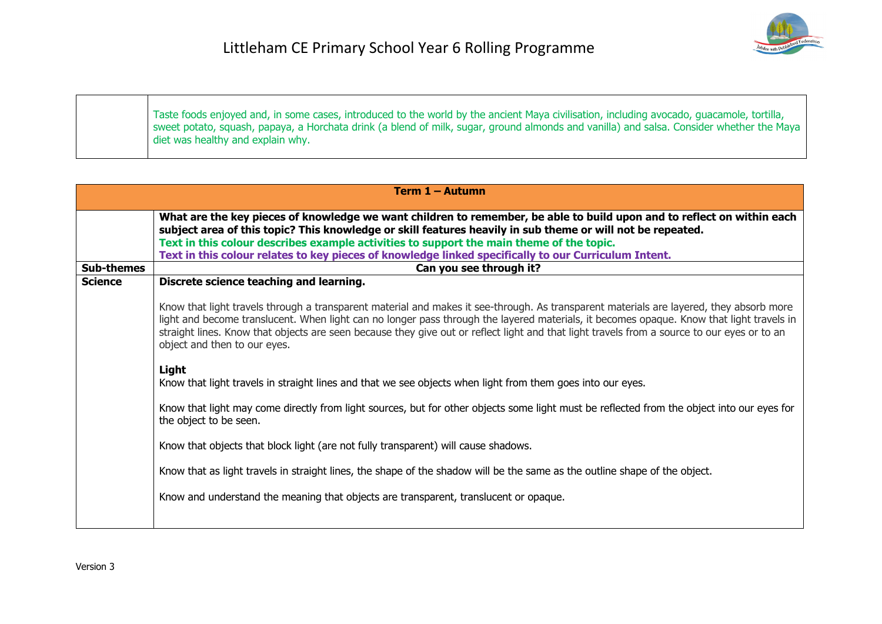| Taste foods enjoyed and, in some cases, introduced to the world by the ancient Maya civilisation, including avocado, quacamole, tortilla,<br>sweet potato, squash, papaya, a Horchata drink (a blend of milk, sugar, ground almonds and vanilla) and salsa. Consider whether the Maya<br>diet was healthy and explain why. |
|----------------------------------------------------------------------------------------------------------------------------------------------------------------------------------------------------------------------------------------------------------------------------------------------------------------------------|

|                   | Term 1 - Autumn                                                                                                                                                                                                                                                                                                                                                                                                                                                    |  |
|-------------------|--------------------------------------------------------------------------------------------------------------------------------------------------------------------------------------------------------------------------------------------------------------------------------------------------------------------------------------------------------------------------------------------------------------------------------------------------------------------|--|
|                   | What are the key pieces of knowledge we want children to remember, be able to build upon and to reflect on within each<br>subject area of this topic? This knowledge or skill features heavily in sub theme or will not be repeated.<br>Text in this colour describes example activities to support the main theme of the topic.<br>Text in this colour relates to key pieces of knowledge linked specifically to our Curriculum Intent.                           |  |
| <b>Sub-themes</b> | Can you see through it?                                                                                                                                                                                                                                                                                                                                                                                                                                            |  |
| <b>Science</b>    | Discrete science teaching and learning.                                                                                                                                                                                                                                                                                                                                                                                                                            |  |
|                   | Know that light travels through a transparent material and makes it see-through. As transparent materials are layered, they absorb more<br>light and become translucent. When light can no longer pass through the layered materials, it becomes opaque. Know that light travels in<br>straight lines. Know that objects are seen because they give out or reflect light and that light travels from a source to our eyes or to an<br>object and then to our eyes. |  |
|                   | Light<br>Know that light travels in straight lines and that we see objects when light from them goes into our eyes.                                                                                                                                                                                                                                                                                                                                                |  |
|                   | Know that light may come directly from light sources, but for other objects some light must be reflected from the object into our eyes for<br>the object to be seen.                                                                                                                                                                                                                                                                                               |  |
|                   | Know that objects that block light (are not fully transparent) will cause shadows.                                                                                                                                                                                                                                                                                                                                                                                 |  |
|                   | Know that as light travels in straight lines, the shape of the shadow will be the same as the outline shape of the object.                                                                                                                                                                                                                                                                                                                                         |  |
|                   | Know and understand the meaning that objects are transparent, translucent or opaque.                                                                                                                                                                                                                                                                                                                                                                               |  |
|                   |                                                                                                                                                                                                                                                                                                                                                                                                                                                                    |  |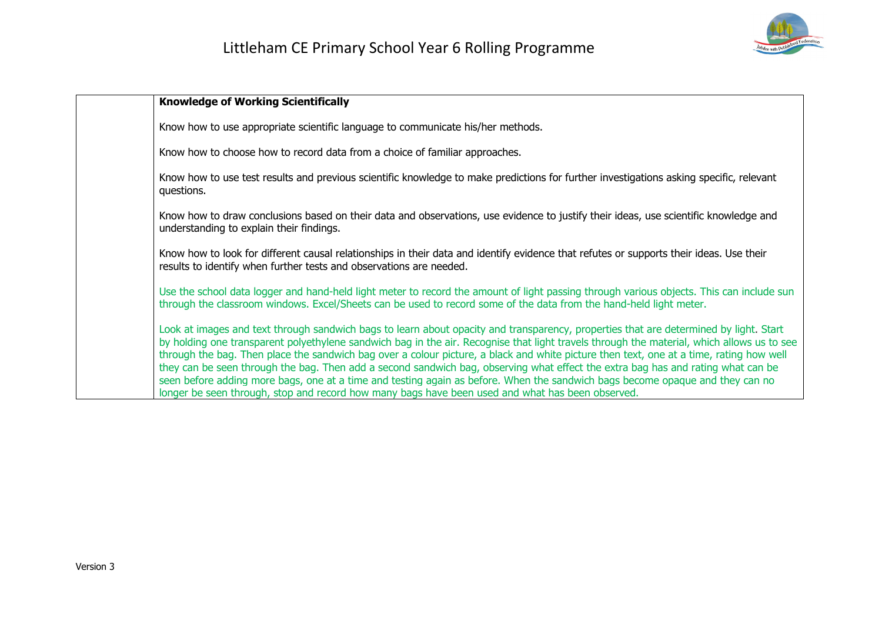

| <b>Knowledge of Working Scientifically</b>                                                                                                                                                                                                                                                                                                                                                                                                                                                                                                                                                                                                                                                                                                                                                              |
|---------------------------------------------------------------------------------------------------------------------------------------------------------------------------------------------------------------------------------------------------------------------------------------------------------------------------------------------------------------------------------------------------------------------------------------------------------------------------------------------------------------------------------------------------------------------------------------------------------------------------------------------------------------------------------------------------------------------------------------------------------------------------------------------------------|
| Know how to use appropriate scientific language to communicate his/her methods.                                                                                                                                                                                                                                                                                                                                                                                                                                                                                                                                                                                                                                                                                                                         |
| Know how to choose how to record data from a choice of familiar approaches.                                                                                                                                                                                                                                                                                                                                                                                                                                                                                                                                                                                                                                                                                                                             |
| Know how to use test results and previous scientific knowledge to make predictions for further investigations asking specific, relevant<br>questions.                                                                                                                                                                                                                                                                                                                                                                                                                                                                                                                                                                                                                                                   |
| Know how to draw conclusions based on their data and observations, use evidence to justify their ideas, use scientific knowledge and<br>understanding to explain their findings.                                                                                                                                                                                                                                                                                                                                                                                                                                                                                                                                                                                                                        |
| Know how to look for different causal relationships in their data and identify evidence that refutes or supports their ideas. Use their<br>results to identify when further tests and observations are needed.                                                                                                                                                                                                                                                                                                                                                                                                                                                                                                                                                                                          |
| Use the school data logger and hand-held light meter to record the amount of light passing through various objects. This can include sun<br>through the classroom windows. Excel/Sheets can be used to record some of the data from the hand-held light meter.                                                                                                                                                                                                                                                                                                                                                                                                                                                                                                                                          |
| Look at images and text through sandwich bags to learn about opacity and transparency, properties that are determined by light. Start<br>by holding one transparent polyethylene sandwich bag in the air. Recognise that light travels through the material, which allows us to see<br>through the bag. Then place the sandwich bag over a colour picture, a black and white picture then text, one at a time, rating how well<br>they can be seen through the bag. Then add a second sandwich bag, observing what effect the extra bag has and rating what can be<br>seen before adding more bags, one at a time and testing again as before. When the sandwich bags become opaque and they can no<br>longer be seen through, stop and record how many bags have been used and what has been observed. |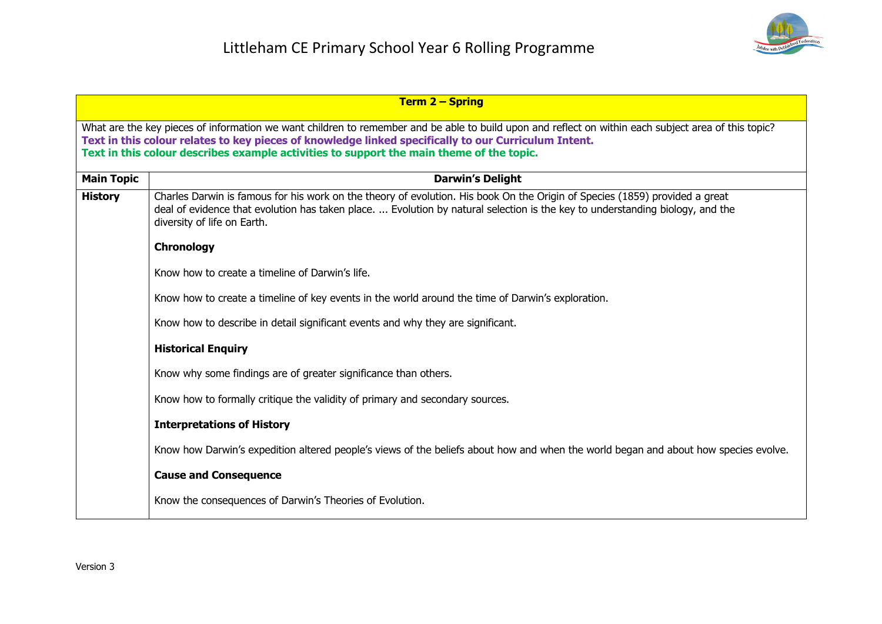

|                                                                                                                                                                                                                                                                                                                                                          | <b>Term 2 - Spring</b>                                                                                                                                                                                                                                                                      |
|----------------------------------------------------------------------------------------------------------------------------------------------------------------------------------------------------------------------------------------------------------------------------------------------------------------------------------------------------------|---------------------------------------------------------------------------------------------------------------------------------------------------------------------------------------------------------------------------------------------------------------------------------------------|
| What are the key pieces of information we want children to remember and be able to build upon and reflect on within each subject area of this topic?<br>Text in this colour relates to key pieces of knowledge linked specifically to our Curriculum Intent.<br>Text in this colour describes example activities to support the main theme of the topic. |                                                                                                                                                                                                                                                                                             |
| <b>Main Topic</b>                                                                                                                                                                                                                                                                                                                                        | <b>Darwin's Delight</b>                                                                                                                                                                                                                                                                     |
| <b>History</b>                                                                                                                                                                                                                                                                                                                                           | Charles Darwin is famous for his work on the theory of evolution. His book On the Origin of Species (1859) provided a great<br>deal of evidence that evolution has taken place.  Evolution by natural selection is the key to understanding biology, and the<br>diversity of life on Earth. |
|                                                                                                                                                                                                                                                                                                                                                          | Chronology                                                                                                                                                                                                                                                                                  |
|                                                                                                                                                                                                                                                                                                                                                          | Know how to create a timeline of Darwin's life.                                                                                                                                                                                                                                             |
|                                                                                                                                                                                                                                                                                                                                                          | Know how to create a timeline of key events in the world around the time of Darwin's exploration.                                                                                                                                                                                           |
|                                                                                                                                                                                                                                                                                                                                                          | Know how to describe in detail significant events and why they are significant.                                                                                                                                                                                                             |
|                                                                                                                                                                                                                                                                                                                                                          | <b>Historical Enquiry</b>                                                                                                                                                                                                                                                                   |
|                                                                                                                                                                                                                                                                                                                                                          | Know why some findings are of greater significance than others.                                                                                                                                                                                                                             |
|                                                                                                                                                                                                                                                                                                                                                          | Know how to formally critique the validity of primary and secondary sources.                                                                                                                                                                                                                |
|                                                                                                                                                                                                                                                                                                                                                          | <b>Interpretations of History</b>                                                                                                                                                                                                                                                           |
|                                                                                                                                                                                                                                                                                                                                                          | Know how Darwin's expedition altered people's views of the beliefs about how and when the world began and about how species evolve.                                                                                                                                                         |
|                                                                                                                                                                                                                                                                                                                                                          | <b>Cause and Consequence</b>                                                                                                                                                                                                                                                                |
|                                                                                                                                                                                                                                                                                                                                                          | Know the consequences of Darwin's Theories of Evolution.                                                                                                                                                                                                                                    |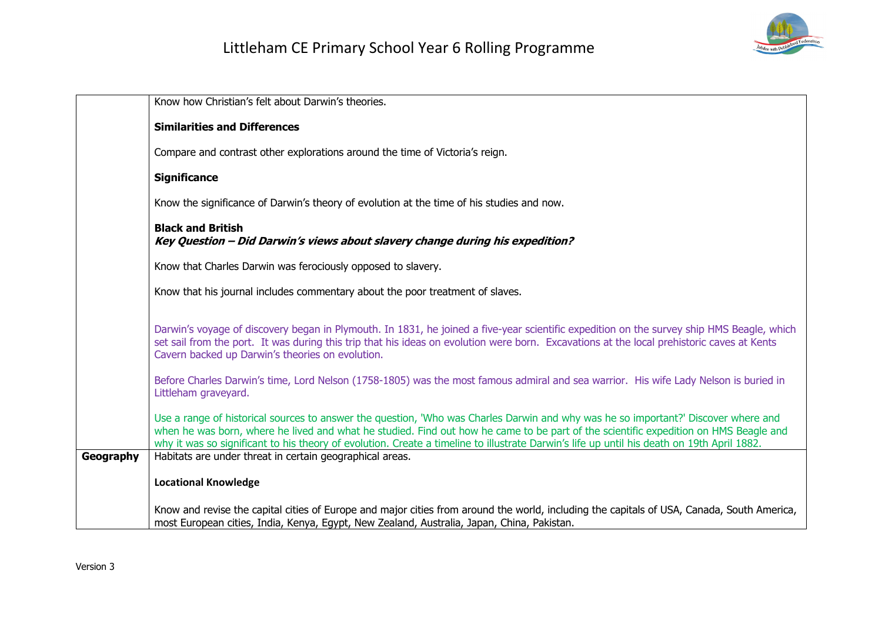

|           | Know how Christian's felt about Darwin's theories.                                                                                                                                                                                                                                                                                                                                                                       |
|-----------|--------------------------------------------------------------------------------------------------------------------------------------------------------------------------------------------------------------------------------------------------------------------------------------------------------------------------------------------------------------------------------------------------------------------------|
|           | <b>Similarities and Differences</b>                                                                                                                                                                                                                                                                                                                                                                                      |
|           | Compare and contrast other explorations around the time of Victoria's reign.                                                                                                                                                                                                                                                                                                                                             |
|           | <b>Significance</b>                                                                                                                                                                                                                                                                                                                                                                                                      |
|           | Know the significance of Darwin's theory of evolution at the time of his studies and now.                                                                                                                                                                                                                                                                                                                                |
|           | <b>Black and British</b><br>Key Question - Did Darwin's views about slavery change during his expedition?                                                                                                                                                                                                                                                                                                                |
|           | Know that Charles Darwin was ferociously opposed to slavery.                                                                                                                                                                                                                                                                                                                                                             |
|           | Know that his journal includes commentary about the poor treatment of slaves.                                                                                                                                                                                                                                                                                                                                            |
|           | Darwin's voyage of discovery began in Plymouth. In 1831, he joined a five-year scientific expedition on the survey ship HMS Beagle, which<br>set sail from the port. It was during this trip that his ideas on evolution were born. Excavations at the local prehistoric caves at Kents<br>Cavern backed up Darwin's theories on evolution.                                                                              |
|           | Before Charles Darwin's time, Lord Nelson (1758-1805) was the most famous admiral and sea warrior. His wife Lady Nelson is buried in<br>Littleham graveyard.                                                                                                                                                                                                                                                             |
|           | Use a range of historical sources to answer the question, 'Who was Charles Darwin and why was he so important?' Discover where and<br>when he was born, where he lived and what he studied. Find out how he came to be part of the scientific expedition on HMS Beagle and<br>why it was so significant to his theory of evolution. Create a timeline to illustrate Darwin's life up until his death on 19th April 1882. |
| Geography | Habitats are under threat in certain geographical areas.                                                                                                                                                                                                                                                                                                                                                                 |
|           | <b>Locational Knowledge</b>                                                                                                                                                                                                                                                                                                                                                                                              |
|           | Know and revise the capital cities of Europe and major cities from around the world, including the capitals of USA, Canada, South America,<br>most European cities, India, Kenya, Egypt, New Zealand, Australia, Japan, China, Pakistan.                                                                                                                                                                                 |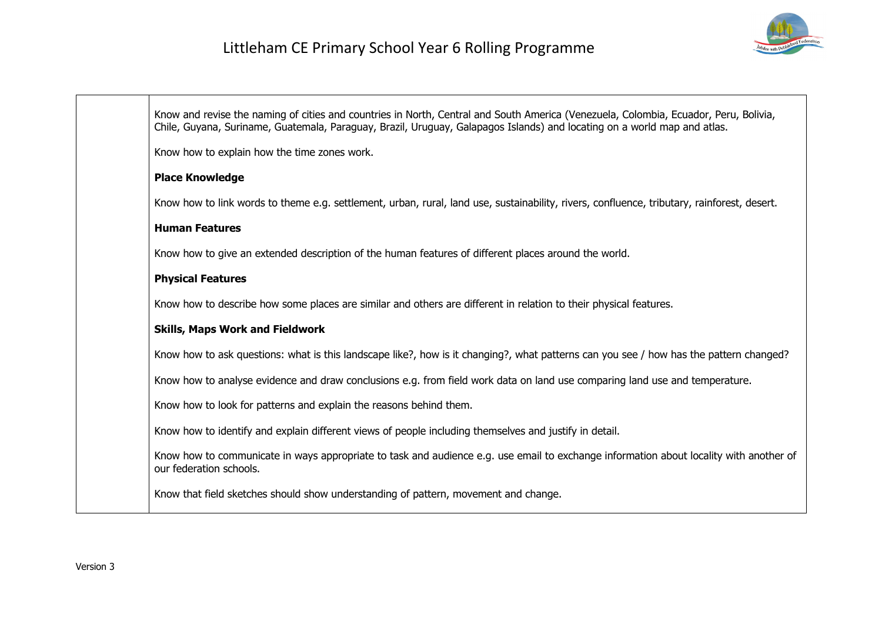

Know and revise the naming of cities and countries in North, Central and South America (Venezuela, Colombia, Ecuador, Peru, Bolivia, Chile, Guyana, Suriname, Guatemala, Paraguay, Brazil, Uruguay, Galapagos Islands) and locating on a world map and atlas. Know how to explain how the time zones work. **Place Knowledge** Know how to link words to theme e.g. settlement, urban, rural, land use, sustainability, rivers, confluence, tributary, rainforest, desert. **Human Features** Know how to give an extended description of the human features of different places around the world. **Physical Features** Know how to describe how some places are similar and others are different in relation to their physical features. **Skills, Maps Work and Fieldwork** Know how to ask questions: what is this landscape like?, how is it changing?, what patterns can you see / how has the pattern changed? Know how to analyse evidence and draw conclusions e.g. from field work data on land use comparing land use and temperature. Know how to look for patterns and explain the reasons behind them. Know how to identify and explain different views of people including themselves and justify in detail. Know how to communicate in ways appropriate to task and audience e.g. use email to exchange information about locality with another of our federation schools. Know that field sketches should show understanding of pattern, movement and change.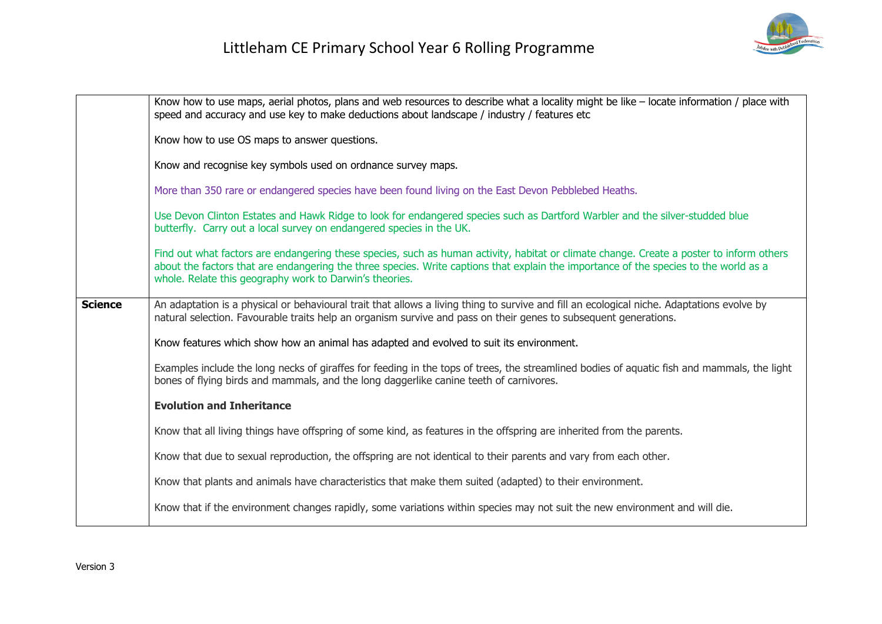

|                | Know how to use maps, aerial photos, plans and web resources to describe what a locality might be like - locate information / place with<br>speed and accuracy and use key to make deductions about landscape / industry / features etc                                                                                                      |
|----------------|----------------------------------------------------------------------------------------------------------------------------------------------------------------------------------------------------------------------------------------------------------------------------------------------------------------------------------------------|
|                | Know how to use OS maps to answer questions.                                                                                                                                                                                                                                                                                                 |
|                | Know and recognise key symbols used on ordnance survey maps.                                                                                                                                                                                                                                                                                 |
|                | More than 350 rare or endangered species have been found living on the East Devon Pebblebed Heaths.                                                                                                                                                                                                                                          |
|                | Use Devon Clinton Estates and Hawk Ridge to look for endangered species such as Dartford Warbler and the silver-studded blue<br>butterfly. Carry out a local survey on endangered species in the UK.                                                                                                                                         |
|                | Find out what factors are endangering these species, such as human activity, habitat or climate change. Create a poster to inform others<br>about the factors that are endangering the three species. Write captions that explain the importance of the species to the world as a<br>whole. Relate this geography work to Darwin's theories. |
| <b>Science</b> | An adaptation is a physical or behavioural trait that allows a living thing to survive and fill an ecological niche. Adaptations evolve by<br>natural selection. Favourable traits help an organism survive and pass on their genes to subsequent generations.                                                                               |
|                | Know features which show how an animal has adapted and evolved to suit its environment.                                                                                                                                                                                                                                                      |
|                | Examples include the long necks of giraffes for feeding in the tops of trees, the streamlined bodies of aquatic fish and mammals, the light<br>bones of flying birds and mammals, and the long daggerlike canine teeth of carnivores.                                                                                                        |
|                | <b>Evolution and Inheritance</b>                                                                                                                                                                                                                                                                                                             |
|                | Know that all living things have offspring of some kind, as features in the offspring are inherited from the parents.                                                                                                                                                                                                                        |
|                | Know that due to sexual reproduction, the offspring are not identical to their parents and vary from each other.                                                                                                                                                                                                                             |
|                | Know that plants and animals have characteristics that make them suited (adapted) to their environment.                                                                                                                                                                                                                                      |
|                | Know that if the environment changes rapidly, some variations within species may not suit the new environment and will die.                                                                                                                                                                                                                  |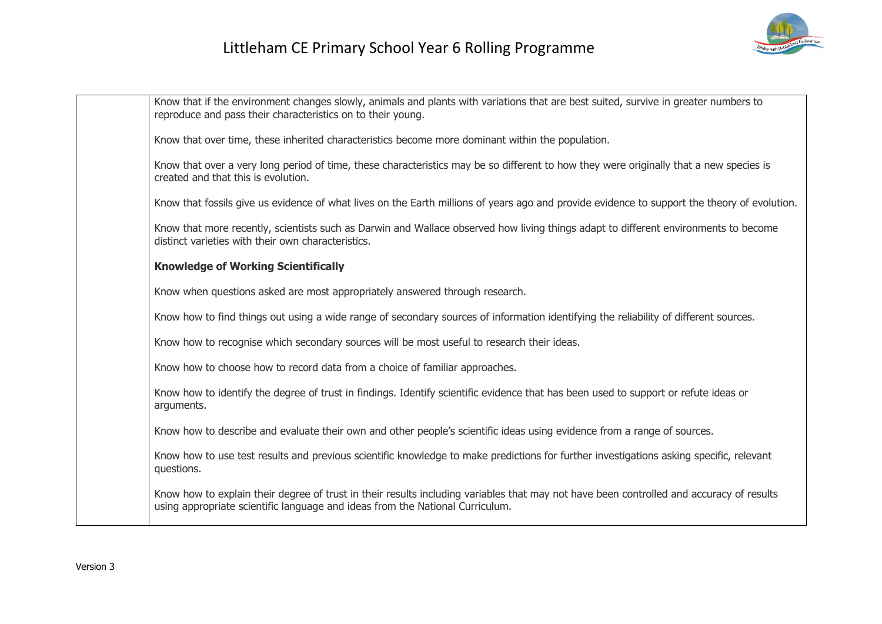

| Know that if the environment changes slowly, animals and plants with variations that are best suited, survive in greater numbers to<br>reproduce and pass their characteristics on to their young.                        |
|---------------------------------------------------------------------------------------------------------------------------------------------------------------------------------------------------------------------------|
| Know that over time, these inherited characteristics become more dominant within the population.                                                                                                                          |
| Know that over a very long period of time, these characteristics may be so different to how they were originally that a new species is<br>created and that this is evolution.                                             |
| Know that fossils give us evidence of what lives on the Earth millions of years ago and provide evidence to support the theory of evolution.                                                                              |
| Know that more recently, scientists such as Darwin and Wallace observed how living things adapt to different environments to become<br>distinct varieties with their own characteristics.                                 |
| <b>Knowledge of Working Scientifically</b>                                                                                                                                                                                |
| Know when questions asked are most appropriately answered through research.                                                                                                                                               |
| Know how to find things out using a wide range of secondary sources of information identifying the reliability of different sources.                                                                                      |
| Know how to recognise which secondary sources will be most useful to research their ideas.                                                                                                                                |
| Know how to choose how to record data from a choice of familiar approaches.                                                                                                                                               |
| Know how to identify the degree of trust in findings. Identify scientific evidence that has been used to support or refute ideas or<br>arguments.                                                                         |
| Know how to describe and evaluate their own and other people's scientific ideas using evidence from a range of sources.                                                                                                   |
| Know how to use test results and previous scientific knowledge to make predictions for further investigations asking specific, relevant<br>questions.                                                                     |
| Know how to explain their degree of trust in their results including variables that may not have been controlled and accuracy of results<br>using appropriate scientific language and ideas from the National Curriculum. |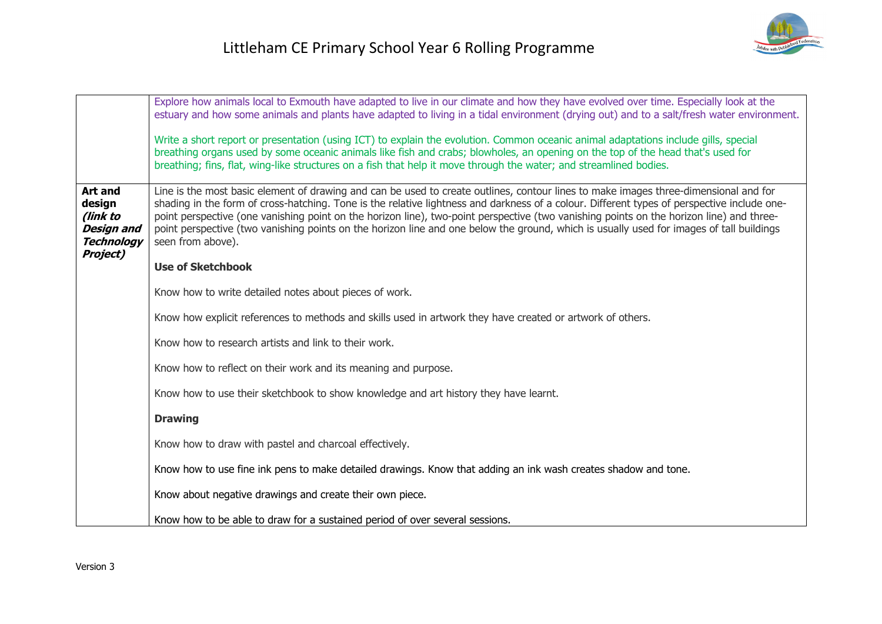|                                                                                                   | Explore how animals local to Exmouth have adapted to live in our climate and how they have evolved over time. Especially look at the<br>estuary and how some animals and plants have adapted to living in a tidal environment (drying out) and to a salt/fresh water environment.<br>Write a short report or presentation (using ICT) to explain the evolution. Common oceanic animal adaptations include gills, special<br>breathing organs used by some oceanic animals like fish and crabs; blowholes, an opening on the top of the head that's used for<br>breathing; fins, flat, wing-like structures on a fish that help it move through the water; and streamlined bodies. |
|---------------------------------------------------------------------------------------------------|-----------------------------------------------------------------------------------------------------------------------------------------------------------------------------------------------------------------------------------------------------------------------------------------------------------------------------------------------------------------------------------------------------------------------------------------------------------------------------------------------------------------------------------------------------------------------------------------------------------------------------------------------------------------------------------|
| <b>Art and</b><br>design<br>(link to<br><b>Design and</b><br><b>Technology</b><br><b>Project)</b> | Line is the most basic element of drawing and can be used to create outlines, contour lines to make images three-dimensional and for<br>shading in the form of cross-hatching. Tone is the relative lightness and darkness of a colour. Different types of perspective include one-<br>point perspective (one vanishing point on the horizon line), two-point perspective (two vanishing points on the horizon line) and three-<br>point perspective (two vanishing points on the horizon line and one below the ground, which is usually used for images of tall buildings<br>seen from above).                                                                                  |
|                                                                                                   | <b>Use of Sketchbook</b>                                                                                                                                                                                                                                                                                                                                                                                                                                                                                                                                                                                                                                                          |
|                                                                                                   | Know how to write detailed notes about pieces of work.                                                                                                                                                                                                                                                                                                                                                                                                                                                                                                                                                                                                                            |
|                                                                                                   | Know how explicit references to methods and skills used in artwork they have created or artwork of others.                                                                                                                                                                                                                                                                                                                                                                                                                                                                                                                                                                        |
|                                                                                                   | Know how to research artists and link to their work.                                                                                                                                                                                                                                                                                                                                                                                                                                                                                                                                                                                                                              |
|                                                                                                   | Know how to reflect on their work and its meaning and purpose.                                                                                                                                                                                                                                                                                                                                                                                                                                                                                                                                                                                                                    |
|                                                                                                   | Know how to use their sketchbook to show knowledge and art history they have learnt.                                                                                                                                                                                                                                                                                                                                                                                                                                                                                                                                                                                              |
|                                                                                                   | <b>Drawing</b>                                                                                                                                                                                                                                                                                                                                                                                                                                                                                                                                                                                                                                                                    |
|                                                                                                   | Know how to draw with pastel and charcoal effectively.                                                                                                                                                                                                                                                                                                                                                                                                                                                                                                                                                                                                                            |
|                                                                                                   | Know how to use fine ink pens to make detailed drawings. Know that adding an ink wash creates shadow and tone.                                                                                                                                                                                                                                                                                                                                                                                                                                                                                                                                                                    |
|                                                                                                   | Know about negative drawings and create their own piece.                                                                                                                                                                                                                                                                                                                                                                                                                                                                                                                                                                                                                          |
|                                                                                                   | Know how to be able to draw for a sustained period of over several sessions.                                                                                                                                                                                                                                                                                                                                                                                                                                                                                                                                                                                                      |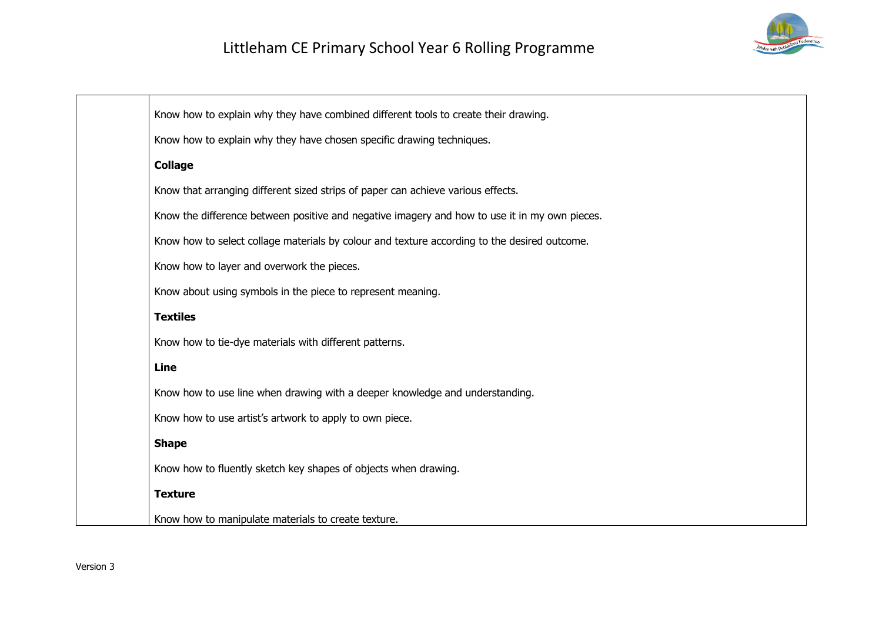

| Know how to explain why they have combined different tools to create their drawing.           |
|-----------------------------------------------------------------------------------------------|
| Know how to explain why they have chosen specific drawing techniques.                         |
| <b>Collage</b>                                                                                |
| Know that arranging different sized strips of paper can achieve various effects.              |
| Know the difference between positive and negative imagery and how to use it in my own pieces. |
| Know how to select collage materials by colour and texture according to the desired outcome.  |
| Know how to layer and overwork the pieces.                                                    |
| Know about using symbols in the piece to represent meaning.                                   |
| <b>Textiles</b>                                                                               |
| Know how to tie-dye materials with different patterns.                                        |
| <b>Line</b>                                                                                   |
| Know how to use line when drawing with a deeper knowledge and understanding.                  |
| Know how to use artist's artwork to apply to own piece.                                       |
| <b>Shape</b>                                                                                  |
| Know how to fluently sketch key shapes of objects when drawing.                               |
| <b>Texture</b>                                                                                |
| Know how to manipulate materials to create texture.                                           |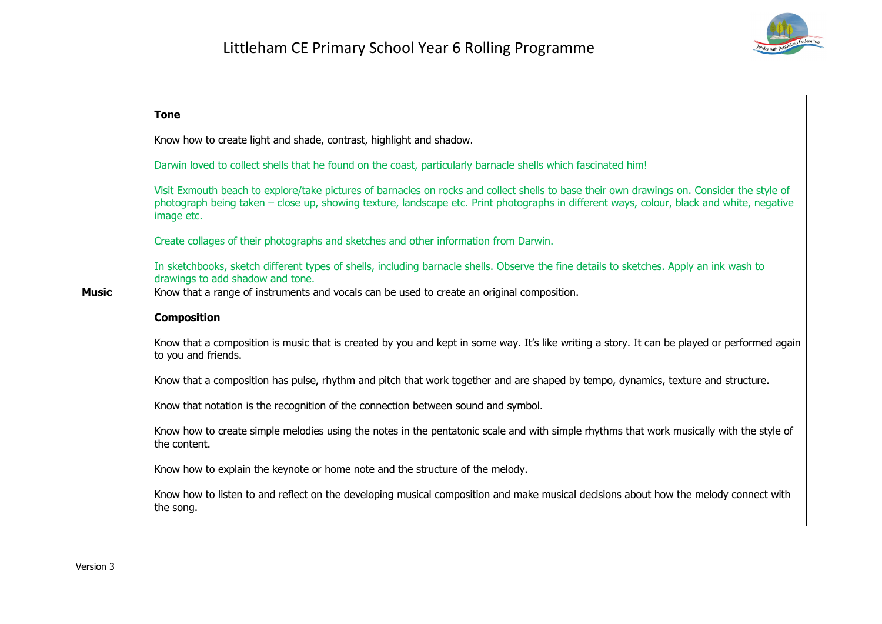

|              | <b>Tone</b>                                                                                                                                                                                                                                                                                           |
|--------------|-------------------------------------------------------------------------------------------------------------------------------------------------------------------------------------------------------------------------------------------------------------------------------------------------------|
|              | Know how to create light and shade, contrast, highlight and shadow.                                                                                                                                                                                                                                   |
|              | Darwin loved to collect shells that he found on the coast, particularly barnacle shells which fascinated him!                                                                                                                                                                                         |
|              | Visit Exmouth beach to explore/take pictures of barnacles on rocks and collect shells to base their own drawings on. Consider the style of<br>photograph being taken – close up, showing texture, landscape etc. Print photographs in different ways, colour, black and white, negative<br>image etc. |
|              | Create collages of their photographs and sketches and other information from Darwin.                                                                                                                                                                                                                  |
|              | In sketchbooks, sketch different types of shells, including barnacle shells. Observe the fine details to sketches. Apply an ink wash to<br>drawings to add shadow and tone.                                                                                                                           |
| <b>Music</b> | Know that a range of instruments and vocals can be used to create an original composition.                                                                                                                                                                                                            |
|              | <b>Composition</b>                                                                                                                                                                                                                                                                                    |
|              | Know that a composition is music that is created by you and kept in some way. It's like writing a story. It can be played or performed again<br>to you and friends.                                                                                                                                   |
|              | Know that a composition has pulse, rhythm and pitch that work together and are shaped by tempo, dynamics, texture and structure.                                                                                                                                                                      |
|              | Know that notation is the recognition of the connection between sound and symbol.                                                                                                                                                                                                                     |
|              | Know how to create simple melodies using the notes in the pentatonic scale and with simple rhythms that work musically with the style of<br>the content.                                                                                                                                              |
|              | Know how to explain the keynote or home note and the structure of the melody.                                                                                                                                                                                                                         |
|              | Know how to listen to and reflect on the developing musical composition and make musical decisions about how the melody connect with<br>the song.                                                                                                                                                     |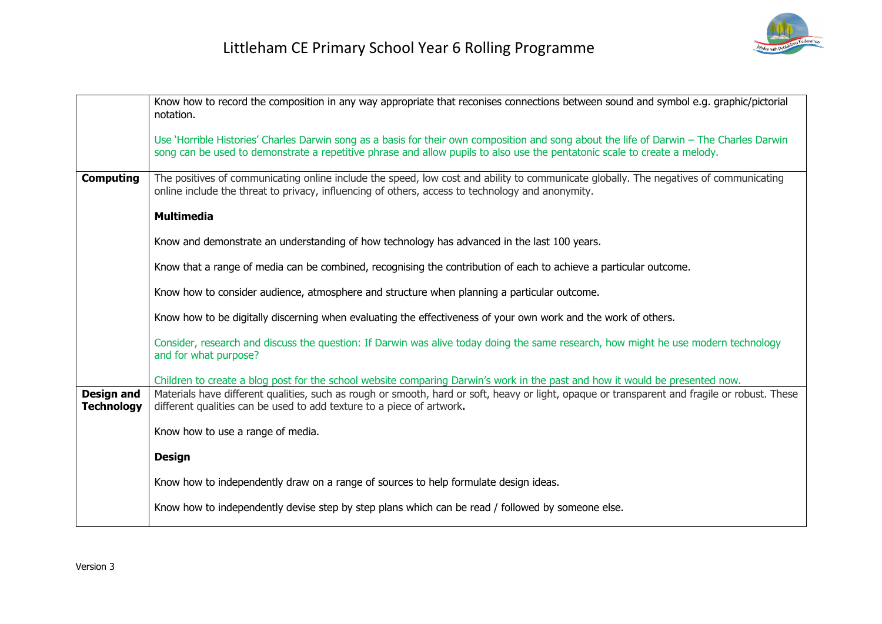

|                                        | Know how to record the composition in any way appropriate that reconises connections between sound and symbol e.g. graphic/pictorial<br>notation.                                                                                                                     |
|----------------------------------------|-----------------------------------------------------------------------------------------------------------------------------------------------------------------------------------------------------------------------------------------------------------------------|
|                                        | Use 'Horrible Histories' Charles Darwin song as a basis for their own composition and song about the life of Darwin - The Charles Darwin<br>song can be used to demonstrate a repetitive phrase and allow pupils to also use the pentatonic scale to create a melody. |
| <b>Computing</b>                       | The positives of communicating online include the speed, low cost and ability to communicate globally. The negatives of communicating<br>online include the threat to privacy, influencing of others, access to technology and anonymity.                             |
|                                        | <b>Multimedia</b>                                                                                                                                                                                                                                                     |
|                                        | Know and demonstrate an understanding of how technology has advanced in the last 100 years.                                                                                                                                                                           |
|                                        | Know that a range of media can be combined, recognising the contribution of each to achieve a particular outcome.                                                                                                                                                     |
|                                        | Know how to consider audience, atmosphere and structure when planning a particular outcome.                                                                                                                                                                           |
|                                        | Know how to be digitally discerning when evaluating the effectiveness of your own work and the work of others.                                                                                                                                                        |
|                                        | Consider, research and discuss the question: If Darwin was alive today doing the same research, how might he use modern technology<br>and for what purpose?                                                                                                           |
|                                        | Children to create a blog post for the school website comparing Darwin's work in the past and how it would be presented now.                                                                                                                                          |
| <b>Design and</b><br><b>Technology</b> | Materials have different qualities, such as rough or smooth, hard or soft, heavy or light, opaque or transparent and fragile or robust. These<br>different qualities can be used to add texture to a piece of artwork.                                                |
|                                        | Know how to use a range of media.                                                                                                                                                                                                                                     |
|                                        | <b>Design</b>                                                                                                                                                                                                                                                         |
|                                        | Know how to independently draw on a range of sources to help formulate design ideas.                                                                                                                                                                                  |
|                                        | Know how to independently devise step by step plans which can be read / followed by someone else.                                                                                                                                                                     |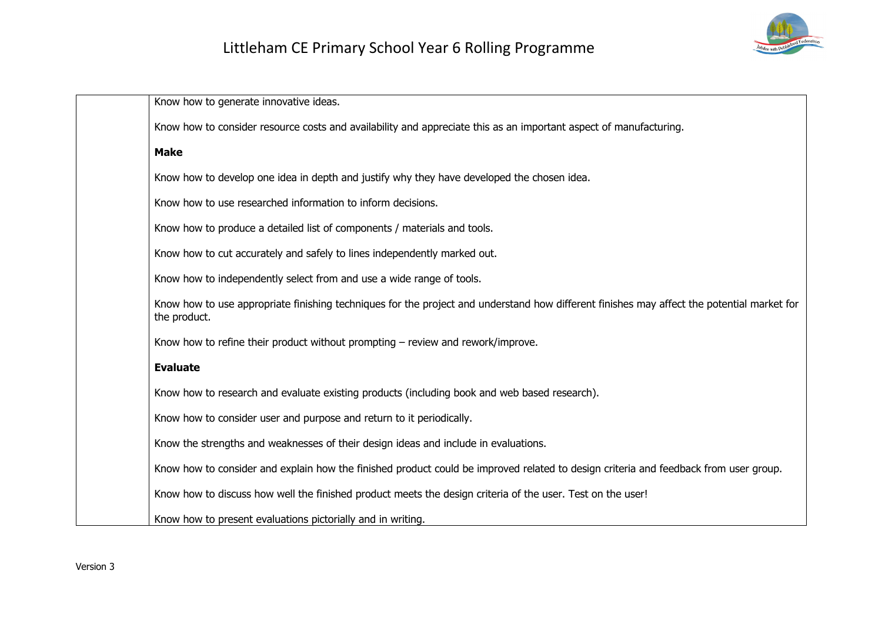

| Know how to generate innovative ideas.                                                                                                                     |
|------------------------------------------------------------------------------------------------------------------------------------------------------------|
| Know how to consider resource costs and availability and appreciate this as an important aspect of manufacturing.                                          |
| <b>Make</b>                                                                                                                                                |
| Know how to develop one idea in depth and justify why they have developed the chosen idea.                                                                 |
| Know how to use researched information to inform decisions.                                                                                                |
| Know how to produce a detailed list of components / materials and tools.                                                                                   |
| Know how to cut accurately and safely to lines independently marked out.                                                                                   |
| Know how to independently select from and use a wide range of tools.                                                                                       |
| Know how to use appropriate finishing techniques for the project and understand how different finishes may affect the potential market for<br>the product. |
| Know how to refine their product without prompting - review and rework/improve.                                                                            |
| <b>Evaluate</b>                                                                                                                                            |
| Know how to research and evaluate existing products (including book and web based research).                                                               |
| Know how to consider user and purpose and return to it periodically.                                                                                       |
| Know the strengths and weaknesses of their design ideas and include in evaluations.                                                                        |
| Know how to consider and explain how the finished product could be improved related to design criteria and feedback from user group.                       |
| Know how to discuss how well the finished product meets the design criteria of the user. Test on the user!                                                 |
| Know how to present evaluations pictorially and in writing.                                                                                                |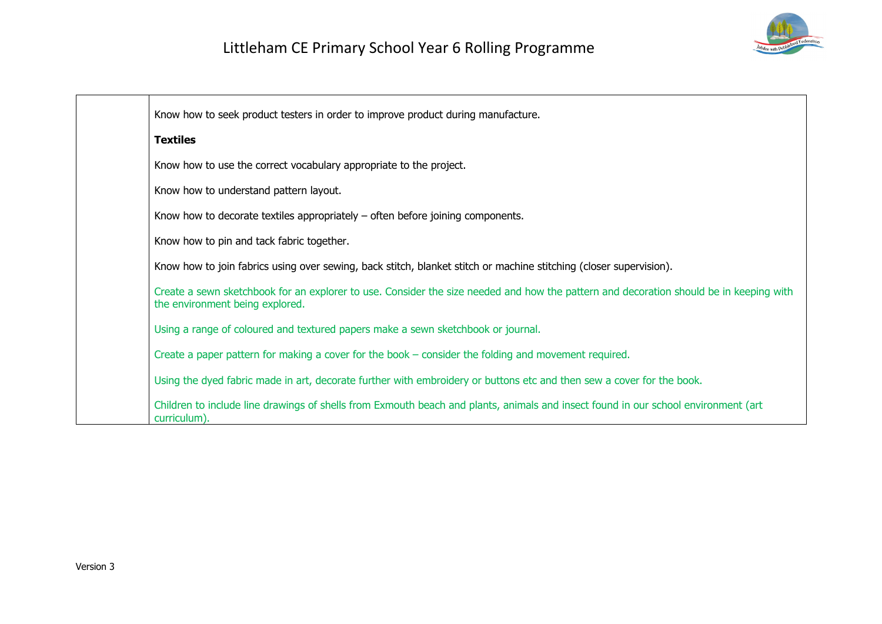

| Know how to seek product testers in order to improve product during manufacture.                                                                                          |
|---------------------------------------------------------------------------------------------------------------------------------------------------------------------------|
| <b>Textiles</b>                                                                                                                                                           |
| Know how to use the correct vocabulary appropriate to the project.                                                                                                        |
| Know how to understand pattern layout.                                                                                                                                    |
| Know how to decorate textiles appropriately $-$ often before joining components.                                                                                          |
| Know how to pin and tack fabric together.                                                                                                                                 |
| Know how to join fabrics using over sewing, back stitch, blanket stitch or machine stitching (closer supervision).                                                        |
| Create a sewn sketchbook for an explorer to use. Consider the size needed and how the pattern and decoration should be in keeping with<br>the environment being explored. |
| Using a range of coloured and textured papers make a sewn sketchbook or journal.                                                                                          |
| Create a paper pattern for making a cover for the book – consider the folding and movement required.                                                                      |
| Using the dyed fabric made in art, decorate further with embroidery or buttons etc and then sew a cover for the book.                                                     |
| Children to include line drawings of shells from Exmouth beach and plants, animals and insect found in our school environment (art<br>curriculum).                        |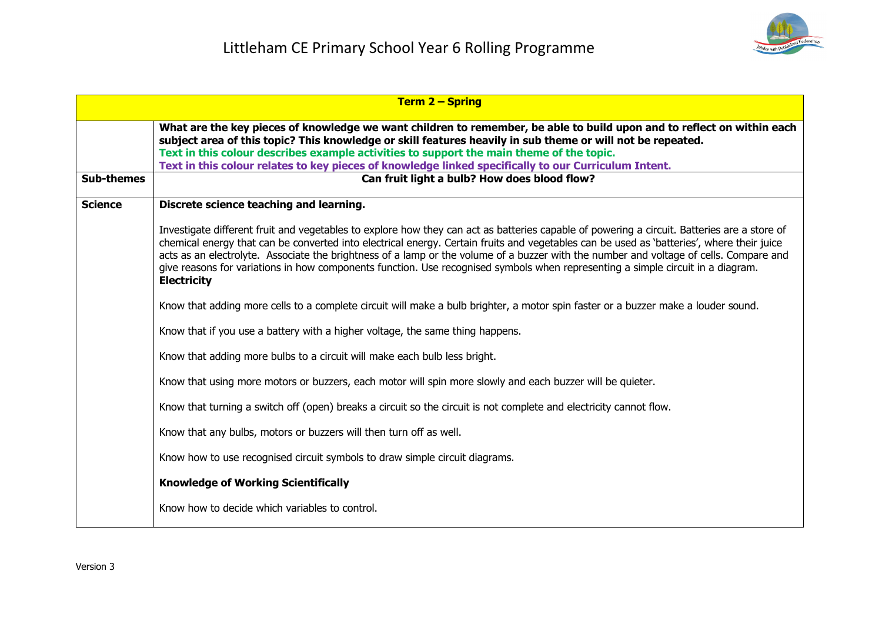

|                   | <b>Term 2 – Spring</b>                                                                                                                                                                                                                                                                                                                                                                                                                                                                                                                                                                      |  |
|-------------------|---------------------------------------------------------------------------------------------------------------------------------------------------------------------------------------------------------------------------------------------------------------------------------------------------------------------------------------------------------------------------------------------------------------------------------------------------------------------------------------------------------------------------------------------------------------------------------------------|--|
|                   | What are the key pieces of knowledge we want children to remember, be able to build upon and to reflect on within each<br>subject area of this topic? This knowledge or skill features heavily in sub theme or will not be repeated.<br>Text in this colour describes example activities to support the main theme of the topic.<br>Text in this colour relates to key pieces of knowledge linked specifically to our Curriculum Intent.                                                                                                                                                    |  |
| <b>Sub-themes</b> | Can fruit light a bulb? How does blood flow?                                                                                                                                                                                                                                                                                                                                                                                                                                                                                                                                                |  |
| <b>Science</b>    | Discrete science teaching and learning.                                                                                                                                                                                                                                                                                                                                                                                                                                                                                                                                                     |  |
|                   | Investigate different fruit and vegetables to explore how they can act as batteries capable of powering a circuit. Batteries are a store of<br>chemical energy that can be converted into electrical energy. Certain fruits and vegetables can be used as 'batteries', where their juice<br>acts as an electrolyte. Associate the brightness of a lamp or the volume of a buzzer with the number and voltage of cells. Compare and<br>give reasons for variations in how components function. Use recognised symbols when representing a simple circuit in a diagram.<br><b>Electricity</b> |  |
|                   | Know that adding more cells to a complete circuit will make a bulb brighter, a motor spin faster or a buzzer make a louder sound.                                                                                                                                                                                                                                                                                                                                                                                                                                                           |  |
|                   | Know that if you use a battery with a higher voltage, the same thing happens.                                                                                                                                                                                                                                                                                                                                                                                                                                                                                                               |  |
|                   | Know that adding more bulbs to a circuit will make each bulb less bright.                                                                                                                                                                                                                                                                                                                                                                                                                                                                                                                   |  |
|                   | Know that using more motors or buzzers, each motor will spin more slowly and each buzzer will be quieter.                                                                                                                                                                                                                                                                                                                                                                                                                                                                                   |  |
|                   | Know that turning a switch off (open) breaks a circuit so the circuit is not complete and electricity cannot flow.                                                                                                                                                                                                                                                                                                                                                                                                                                                                          |  |
|                   | Know that any bulbs, motors or buzzers will then turn off as well.                                                                                                                                                                                                                                                                                                                                                                                                                                                                                                                          |  |
|                   | Know how to use recognised circuit symbols to draw simple circuit diagrams.                                                                                                                                                                                                                                                                                                                                                                                                                                                                                                                 |  |
|                   | <b>Knowledge of Working Scientifically</b>                                                                                                                                                                                                                                                                                                                                                                                                                                                                                                                                                  |  |
|                   | Know how to decide which variables to control.                                                                                                                                                                                                                                                                                                                                                                                                                                                                                                                                              |  |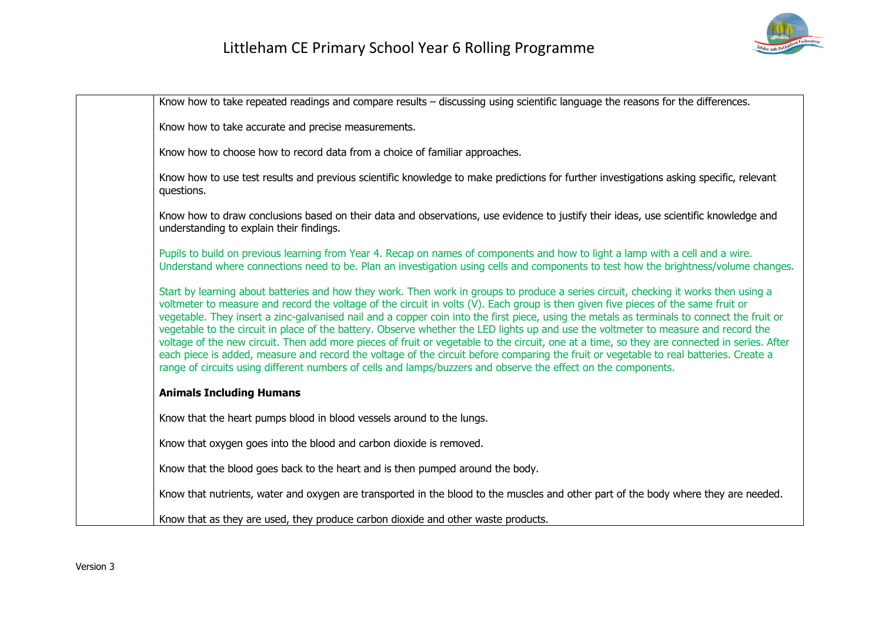

| Know how to take repeated readings and compare results – discussing using scientific language the reasons for the differences.                                                                                                                                                                                                                                                                                                                                                                                                                                                                                                                                                                                                                                                                                                                                                                                                                                               |
|------------------------------------------------------------------------------------------------------------------------------------------------------------------------------------------------------------------------------------------------------------------------------------------------------------------------------------------------------------------------------------------------------------------------------------------------------------------------------------------------------------------------------------------------------------------------------------------------------------------------------------------------------------------------------------------------------------------------------------------------------------------------------------------------------------------------------------------------------------------------------------------------------------------------------------------------------------------------------|
| Know how to take accurate and precise measurements.                                                                                                                                                                                                                                                                                                                                                                                                                                                                                                                                                                                                                                                                                                                                                                                                                                                                                                                          |
| Know how to choose how to record data from a choice of familiar approaches.                                                                                                                                                                                                                                                                                                                                                                                                                                                                                                                                                                                                                                                                                                                                                                                                                                                                                                  |
| Know how to use test results and previous scientific knowledge to make predictions for further investigations asking specific, relevant<br>questions.                                                                                                                                                                                                                                                                                                                                                                                                                                                                                                                                                                                                                                                                                                                                                                                                                        |
| Know how to draw conclusions based on their data and observations, use evidence to justify their ideas, use scientific knowledge and<br>understanding to explain their findings.                                                                                                                                                                                                                                                                                                                                                                                                                                                                                                                                                                                                                                                                                                                                                                                             |
| Pupils to build on previous learning from Year 4. Recap on names of components and how to light a lamp with a cell and a wire.<br>Understand where connections need to be. Plan an investigation using cells and components to test how the brightness/volume changes.                                                                                                                                                                                                                                                                                                                                                                                                                                                                                                                                                                                                                                                                                                       |
| Start by learning about batteries and how they work. Then work in groups to produce a series circuit, checking it works then using a<br>voltmeter to measure and record the voltage of the circuit in volts (V). Each group is then given five pieces of the same fruit or<br>vegetable. They insert a zinc-galvanised nail and a copper coin into the first piece, using the metals as terminals to connect the fruit or<br>vegetable to the circuit in place of the battery. Observe whether the LED lights up and use the voltmeter to measure and record the<br>voltage of the new circuit. Then add more pieces of fruit or vegetable to the circuit, one at a time, so they are connected in series. After<br>each piece is added, measure and record the voltage of the circuit before comparing the fruit or vegetable to real batteries. Create a<br>range of circuits using different numbers of cells and lamps/buzzers and observe the effect on the components. |
| <b>Animals Including Humans</b>                                                                                                                                                                                                                                                                                                                                                                                                                                                                                                                                                                                                                                                                                                                                                                                                                                                                                                                                              |
| Know that the heart pumps blood in blood vessels around to the lungs.                                                                                                                                                                                                                                                                                                                                                                                                                                                                                                                                                                                                                                                                                                                                                                                                                                                                                                        |
| Know that oxygen goes into the blood and carbon dioxide is removed.                                                                                                                                                                                                                                                                                                                                                                                                                                                                                                                                                                                                                                                                                                                                                                                                                                                                                                          |
| Know that the blood goes back to the heart and is then pumped around the body.                                                                                                                                                                                                                                                                                                                                                                                                                                                                                                                                                                                                                                                                                                                                                                                                                                                                                               |
| Know that nutrients, water and oxygen are transported in the blood to the muscles and other part of the body where they are needed.                                                                                                                                                                                                                                                                                                                                                                                                                                                                                                                                                                                                                                                                                                                                                                                                                                          |
| Know that as they are used, they produce carbon dioxide and other waste products.                                                                                                                                                                                                                                                                                                                                                                                                                                                                                                                                                                                                                                                                                                                                                                                                                                                                                            |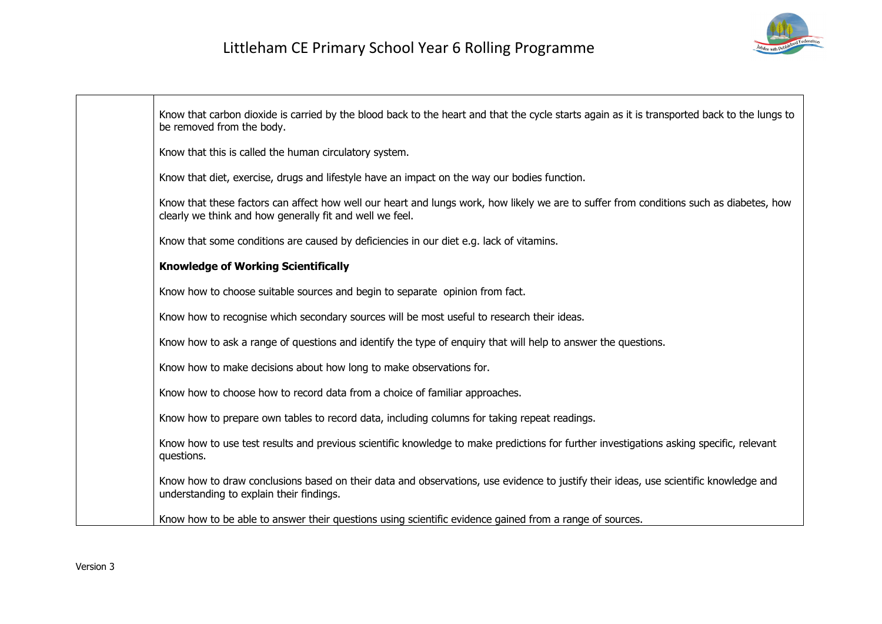

| Know that carbon dioxide is carried by the blood back to the heart and that the cycle starts again as it is transported back to the lungs to<br>be removed from the body.                           |
|-----------------------------------------------------------------------------------------------------------------------------------------------------------------------------------------------------|
| Know that this is called the human circulatory system.                                                                                                                                              |
| Know that diet, exercise, drugs and lifestyle have an impact on the way our bodies function.                                                                                                        |
| Know that these factors can affect how well our heart and lungs work, how likely we are to suffer from conditions such as diabetes, how<br>clearly we think and how generally fit and well we feel. |
| Know that some conditions are caused by deficiencies in our diet e.g. lack of vitamins.                                                                                                             |
| <b>Knowledge of Working Scientifically</b>                                                                                                                                                          |
| Know how to choose suitable sources and begin to separate opinion from fact.                                                                                                                        |
| Know how to recognise which secondary sources will be most useful to research their ideas.                                                                                                          |
| Know how to ask a range of questions and identify the type of enquiry that will help to answer the questions.                                                                                       |
| Know how to make decisions about how long to make observations for.                                                                                                                                 |
| Know how to choose how to record data from a choice of familiar approaches.                                                                                                                         |
| Know how to prepare own tables to record data, including columns for taking repeat readings.                                                                                                        |
| Know how to use test results and previous scientific knowledge to make predictions for further investigations asking specific, relevant<br>questions.                                               |
| Know how to draw conclusions based on their data and observations, use evidence to justify their ideas, use scientific knowledge and<br>understanding to explain their findings.                    |
| Know how to be able to answer their questions using scientific evidence gained from a range of sources.                                                                                             |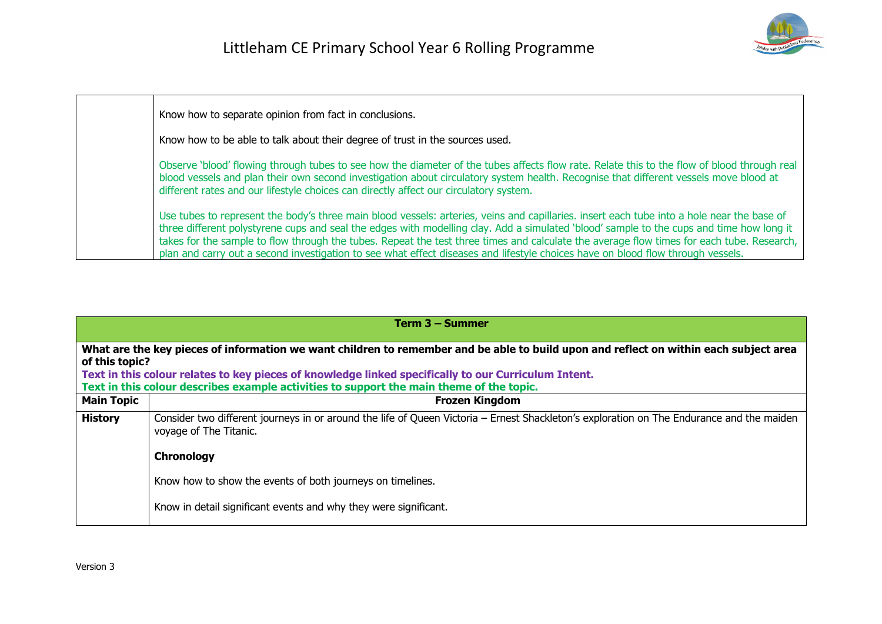

| Know how to separate opinion from fact in conclusions.                                                                                                                                                                                                                                                                                                                                                                                                                                                                                                                 |
|------------------------------------------------------------------------------------------------------------------------------------------------------------------------------------------------------------------------------------------------------------------------------------------------------------------------------------------------------------------------------------------------------------------------------------------------------------------------------------------------------------------------------------------------------------------------|
| Know how to be able to talk about their degree of trust in the sources used.                                                                                                                                                                                                                                                                                                                                                                                                                                                                                           |
| Observe 'blood' flowing through tubes to see how the diameter of the tubes affects flow rate. Relate this to the flow of blood through real<br>blood vessels and plan their own second investigation about circulatory system health. Recognise that different vessels move blood at<br>different rates and our lifestyle choices can directly affect our circulatory system.                                                                                                                                                                                          |
| Use tubes to represent the body's three main blood vessels: arteries, veins and capillaries. insert each tube into a hole near the base of<br>three different polystyrene cups and seal the edges with modelling clay. Add a simulated 'blood' sample to the cups and time how long it<br>takes for the sample to flow through the tubes. Repeat the test three times and calculate the average flow times for each tube. Research,<br>plan and carry out a second investigation to see what effect diseases and lifestyle choices have on blood flow through vessels. |

|                   | Term 3 – Summer                                                                                                                                                                                  |  |
|-------------------|--------------------------------------------------------------------------------------------------------------------------------------------------------------------------------------------------|--|
|                   | What are the key pieces of information we want children to remember and be able to build upon and reflect on within each subject area<br>of this topic?                                          |  |
|                   | Text in this colour relates to key pieces of knowledge linked specifically to our Curriculum Intent.<br>Text in this colour describes example activities to support the main theme of the topic. |  |
| <b>Main Topic</b> | <b>Frozen Kingdom</b>                                                                                                                                                                            |  |
| <b>History</b>    | Consider two different journeys in or around the life of Queen Victoria - Ernest Shackleton's exploration on The Endurance and the maiden<br>voyage of The Titanic.                              |  |
|                   | Chronology                                                                                                                                                                                       |  |
|                   | Know how to show the events of both journeys on timelines.                                                                                                                                       |  |
|                   | Know in detail significant events and why they were significant.                                                                                                                                 |  |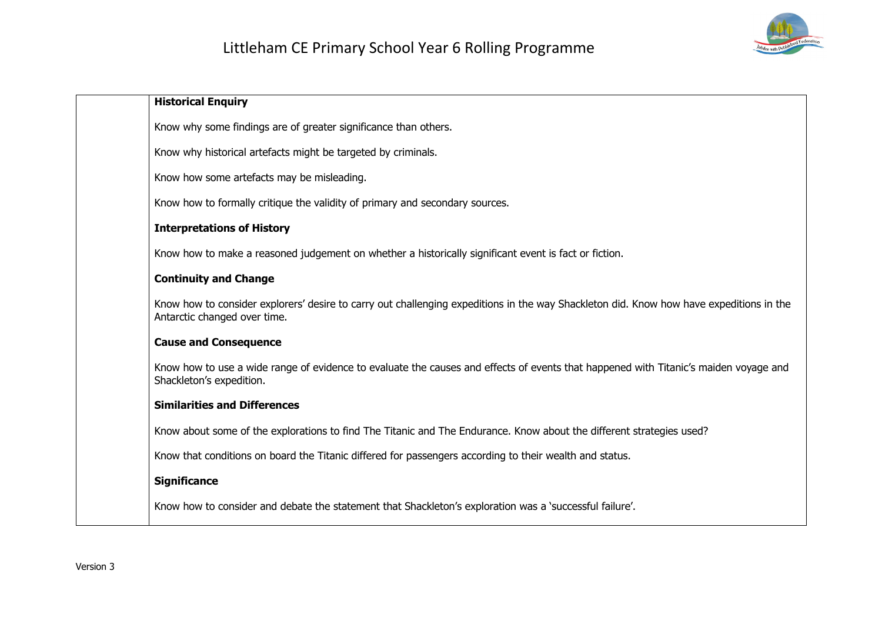

| <b>Historical Enquiry</b>                                                                                                                                               |
|-------------------------------------------------------------------------------------------------------------------------------------------------------------------------|
| Know why some findings are of greater significance than others.                                                                                                         |
| Know why historical artefacts might be targeted by criminals.                                                                                                           |
| Know how some artefacts may be misleading.                                                                                                                              |
| Know how to formally critique the validity of primary and secondary sources.                                                                                            |
| <b>Interpretations of History</b>                                                                                                                                       |
| Know how to make a reasoned judgement on whether a historically significant event is fact or fiction.                                                                   |
| <b>Continuity and Change</b>                                                                                                                                            |
| Know how to consider explorers' desire to carry out challenging expeditions in the way Shackleton did. Know how have expeditions in the<br>Antarctic changed over time. |
| <b>Cause and Consequence</b>                                                                                                                                            |
| Know how to use a wide range of evidence to evaluate the causes and effects of events that happened with Titanic's maiden voyage and<br>Shackleton's expedition.        |
| <b>Similarities and Differences</b>                                                                                                                                     |
| Know about some of the explorations to find The Titanic and The Endurance. Know about the different strategies used?                                                    |
| Know that conditions on board the Titanic differed for passengers according to their wealth and status.                                                                 |
| <b>Significance</b>                                                                                                                                                     |
| Know how to consider and debate the statement that Shackleton's exploration was a `successful failure'.                                                                 |
|                                                                                                                                                                         |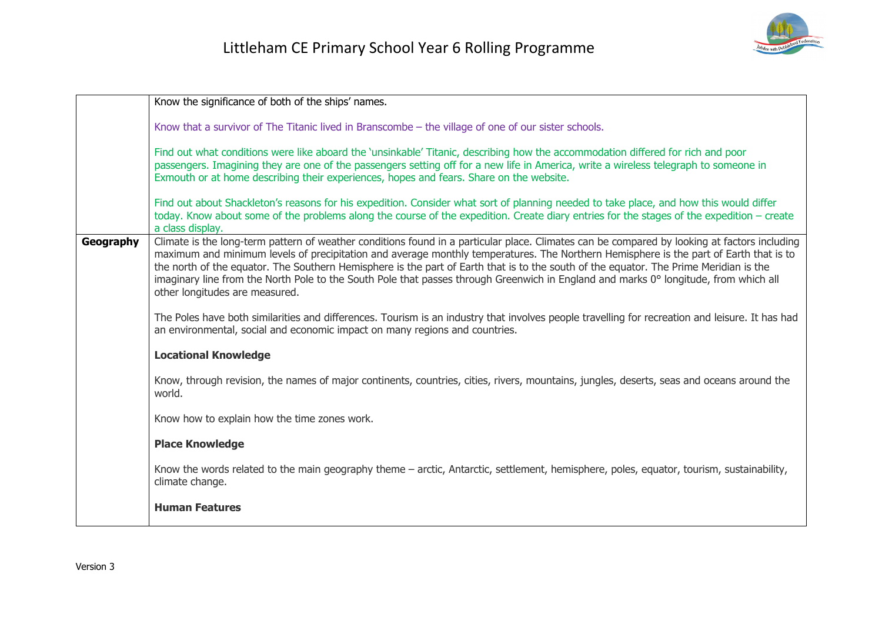

|           | Know the significance of both of the ships' names.                                                                                                                                                                                                                                                                                                                                                                                                                                                                                                                                                       |
|-----------|----------------------------------------------------------------------------------------------------------------------------------------------------------------------------------------------------------------------------------------------------------------------------------------------------------------------------------------------------------------------------------------------------------------------------------------------------------------------------------------------------------------------------------------------------------------------------------------------------------|
|           | Know that a survivor of The Titanic lived in Branscombe - the village of one of our sister schools.                                                                                                                                                                                                                                                                                                                                                                                                                                                                                                      |
|           | Find out what conditions were like aboard the 'unsinkable' Titanic, describing how the accommodation differed for rich and poor<br>passengers. Imagining they are one of the passengers setting off for a new life in America, write a wireless telegraph to someone in<br>Exmouth or at home describing their experiences, hopes and fears. Share on the website.                                                                                                                                                                                                                                       |
|           | Find out about Shackleton's reasons for his expedition. Consider what sort of planning needed to take place, and how this would differ<br>today. Know about some of the problems along the course of the expedition. Create diary entries for the stages of the expedition - create<br>a class display.                                                                                                                                                                                                                                                                                                  |
| Geography | Climate is the long-term pattern of weather conditions found in a particular place. Climates can be compared by looking at factors including<br>maximum and minimum levels of precipitation and average monthly temperatures. The Northern Hemisphere is the part of Earth that is to<br>the north of the equator. The Southern Hemisphere is the part of Earth that is to the south of the equator. The Prime Meridian is the<br>imaginary line from the North Pole to the South Pole that passes through Greenwich in England and marks 0° longitude, from which all<br>other longitudes are measured. |
|           | The Poles have both similarities and differences. Tourism is an industry that involves people travelling for recreation and leisure. It has had<br>an environmental, social and economic impact on many regions and countries.                                                                                                                                                                                                                                                                                                                                                                           |
|           | <b>Locational Knowledge</b>                                                                                                                                                                                                                                                                                                                                                                                                                                                                                                                                                                              |
|           | Know, through revision, the names of major continents, countries, cities, rivers, mountains, jungles, deserts, seas and oceans around the<br>world.                                                                                                                                                                                                                                                                                                                                                                                                                                                      |
|           | Know how to explain how the time zones work.                                                                                                                                                                                                                                                                                                                                                                                                                                                                                                                                                             |
|           | <b>Place Knowledge</b>                                                                                                                                                                                                                                                                                                                                                                                                                                                                                                                                                                                   |
|           | Know the words related to the main geography theme - arctic, Antarctic, settlement, hemisphere, poles, equator, tourism, sustainability,<br>climate change.                                                                                                                                                                                                                                                                                                                                                                                                                                              |
|           | <b>Human Features</b>                                                                                                                                                                                                                                                                                                                                                                                                                                                                                                                                                                                    |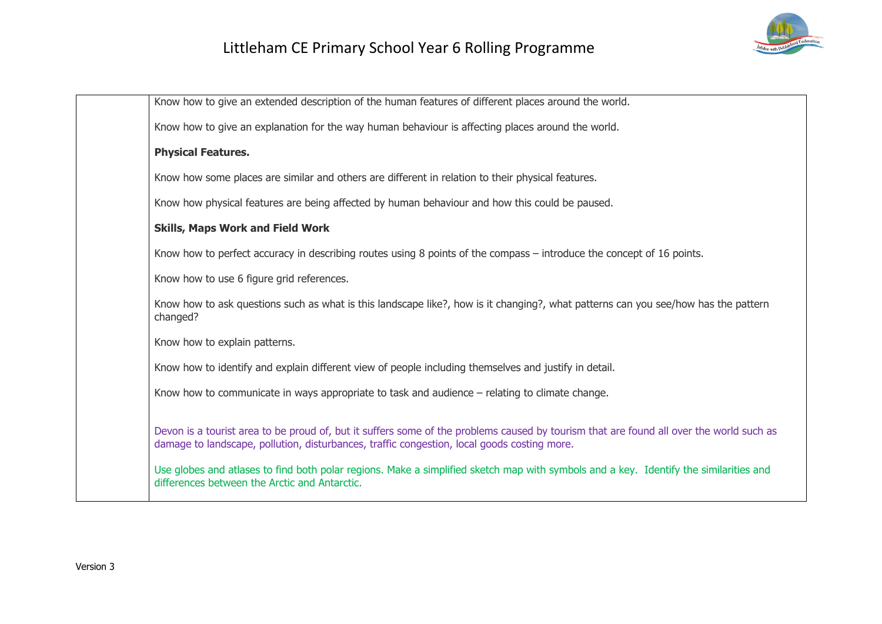

| Know how to give an extended description of the human features of different places around the world.<br>Know how to give an explanation for the way human behaviour is affecting places around the world.<br><b>Physical Features.</b><br>Know how some places are similar and others are different in relation to their physical features.<br>Know how physical features are being affected by human behaviour and how this could be paused.<br><b>Skills, Maps Work and Field Work</b><br>Know how to perfect accuracy in describing routes using 8 points of the compass – introduce the concept of 16 points.<br>Know how to use 6 figure grid references.<br>Know how to ask questions such as what is this landscape like?, how is it changing?, what patterns can you see/how has the pattern<br>changed?<br>Know how to explain patterns.<br>Know how to identify and explain different view of people including themselves and justify in detail.<br>Know how to communicate in ways appropriate to task and audience – relating to climate change.<br>Devon is a tourist area to be proud of, but it suffers some of the problems caused by tourism that are found all over the world such as<br>damage to landscape, pollution, disturbances, traffic congestion, local goods costing more.<br>Use globes and atlases to find both polar regions. Make a simplified sketch map with symbols and a key. Identify the similarities and<br>differences between the Arctic and Antarctic. |  |
|--------------------------------------------------------------------------------------------------------------------------------------------------------------------------------------------------------------------------------------------------------------------------------------------------------------------------------------------------------------------------------------------------------------------------------------------------------------------------------------------------------------------------------------------------------------------------------------------------------------------------------------------------------------------------------------------------------------------------------------------------------------------------------------------------------------------------------------------------------------------------------------------------------------------------------------------------------------------------------------------------------------------------------------------------------------------------------------------------------------------------------------------------------------------------------------------------------------------------------------------------------------------------------------------------------------------------------------------------------------------------------------------------------------------------------------------------------------------------------------------------|--|
|                                                                                                                                                                                                                                                                                                                                                                                                                                                                                                                                                                                                                                                                                                                                                                                                                                                                                                                                                                                                                                                                                                                                                                                                                                                                                                                                                                                                                                                                                                  |  |
|                                                                                                                                                                                                                                                                                                                                                                                                                                                                                                                                                                                                                                                                                                                                                                                                                                                                                                                                                                                                                                                                                                                                                                                                                                                                                                                                                                                                                                                                                                  |  |
|                                                                                                                                                                                                                                                                                                                                                                                                                                                                                                                                                                                                                                                                                                                                                                                                                                                                                                                                                                                                                                                                                                                                                                                                                                                                                                                                                                                                                                                                                                  |  |
|                                                                                                                                                                                                                                                                                                                                                                                                                                                                                                                                                                                                                                                                                                                                                                                                                                                                                                                                                                                                                                                                                                                                                                                                                                                                                                                                                                                                                                                                                                  |  |
|                                                                                                                                                                                                                                                                                                                                                                                                                                                                                                                                                                                                                                                                                                                                                                                                                                                                                                                                                                                                                                                                                                                                                                                                                                                                                                                                                                                                                                                                                                  |  |
|                                                                                                                                                                                                                                                                                                                                                                                                                                                                                                                                                                                                                                                                                                                                                                                                                                                                                                                                                                                                                                                                                                                                                                                                                                                                                                                                                                                                                                                                                                  |  |
|                                                                                                                                                                                                                                                                                                                                                                                                                                                                                                                                                                                                                                                                                                                                                                                                                                                                                                                                                                                                                                                                                                                                                                                                                                                                                                                                                                                                                                                                                                  |  |
|                                                                                                                                                                                                                                                                                                                                                                                                                                                                                                                                                                                                                                                                                                                                                                                                                                                                                                                                                                                                                                                                                                                                                                                                                                                                                                                                                                                                                                                                                                  |  |
|                                                                                                                                                                                                                                                                                                                                                                                                                                                                                                                                                                                                                                                                                                                                                                                                                                                                                                                                                                                                                                                                                                                                                                                                                                                                                                                                                                                                                                                                                                  |  |
|                                                                                                                                                                                                                                                                                                                                                                                                                                                                                                                                                                                                                                                                                                                                                                                                                                                                                                                                                                                                                                                                                                                                                                                                                                                                                                                                                                                                                                                                                                  |  |
|                                                                                                                                                                                                                                                                                                                                                                                                                                                                                                                                                                                                                                                                                                                                                                                                                                                                                                                                                                                                                                                                                                                                                                                                                                                                                                                                                                                                                                                                                                  |  |
|                                                                                                                                                                                                                                                                                                                                                                                                                                                                                                                                                                                                                                                                                                                                                                                                                                                                                                                                                                                                                                                                                                                                                                                                                                                                                                                                                                                                                                                                                                  |  |
|                                                                                                                                                                                                                                                                                                                                                                                                                                                                                                                                                                                                                                                                                                                                                                                                                                                                                                                                                                                                                                                                                                                                                                                                                                                                                                                                                                                                                                                                                                  |  |
|                                                                                                                                                                                                                                                                                                                                                                                                                                                                                                                                                                                                                                                                                                                                                                                                                                                                                                                                                                                                                                                                                                                                                                                                                                                                                                                                                                                                                                                                                                  |  |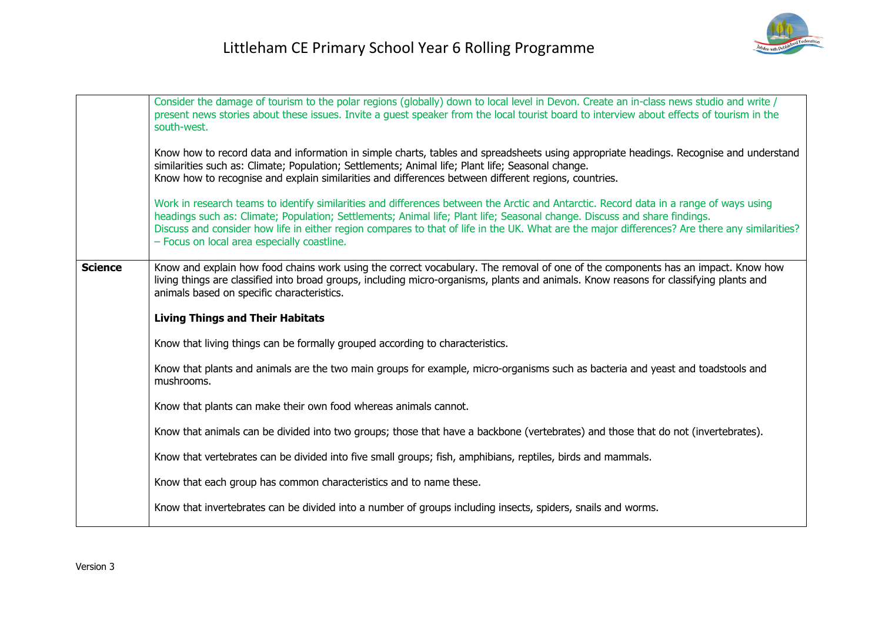|                | Consider the damage of tourism to the polar regions (globally) down to local level in Devon. Create an in-class news studio and write /<br>present news stories about these issues. Invite a guest speaker from the local tourist board to interview about effects of tourism in the<br>south-west.<br>Know how to record data and information in simple charts, tables and spreadsheets using appropriate headings. Recognise and understand<br>similarities such as: Climate; Population; Settlements; Animal life; Plant life; Seasonal change.<br>Know how to recognise and explain similarities and differences between different regions, countries.<br>Work in research teams to identify similarities and differences between the Arctic and Antarctic. Record data in a range of ways using<br>headings such as: Climate; Population; Settlements; Animal life; Plant life; Seasonal change. Discuss and share findings.<br>Discuss and consider how life in either region compares to that of life in the UK. What are the major differences? Are there any similarities?<br>- Focus on local area especially coastline. |
|----------------|------------------------------------------------------------------------------------------------------------------------------------------------------------------------------------------------------------------------------------------------------------------------------------------------------------------------------------------------------------------------------------------------------------------------------------------------------------------------------------------------------------------------------------------------------------------------------------------------------------------------------------------------------------------------------------------------------------------------------------------------------------------------------------------------------------------------------------------------------------------------------------------------------------------------------------------------------------------------------------------------------------------------------------------------------------------------------------------------------------------------------------|
| <b>Science</b> | Know and explain how food chains work using the correct vocabulary. The removal of one of the components has an impact. Know how<br>living things are classified into broad groups, including micro-organisms, plants and animals. Know reasons for classifying plants and<br>animals based on specific characteristics.<br><b>Living Things and Their Habitats</b><br>Know that living things can be formally grouped according to characteristics.                                                                                                                                                                                                                                                                                                                                                                                                                                                                                                                                                                                                                                                                               |
|                | Know that plants and animals are the two main groups for example, micro-organisms such as bacteria and yeast and toadstools and<br>mushrooms.<br>Know that plants can make their own food whereas animals cannot.<br>Know that animals can be divided into two groups; those that have a backbone (vertebrates) and those that do not (invertebrates).<br>Know that vertebrates can be divided into five small groups; fish, amphibians, reptiles, birds and mammals.                                                                                                                                                                                                                                                                                                                                                                                                                                                                                                                                                                                                                                                              |
|                | Know that each group has common characteristics and to name these.<br>Know that invertebrates can be divided into a number of groups including insects, spiders, snails and worms.                                                                                                                                                                                                                                                                                                                                                                                                                                                                                                                                                                                                                                                                                                                                                                                                                                                                                                                                                 |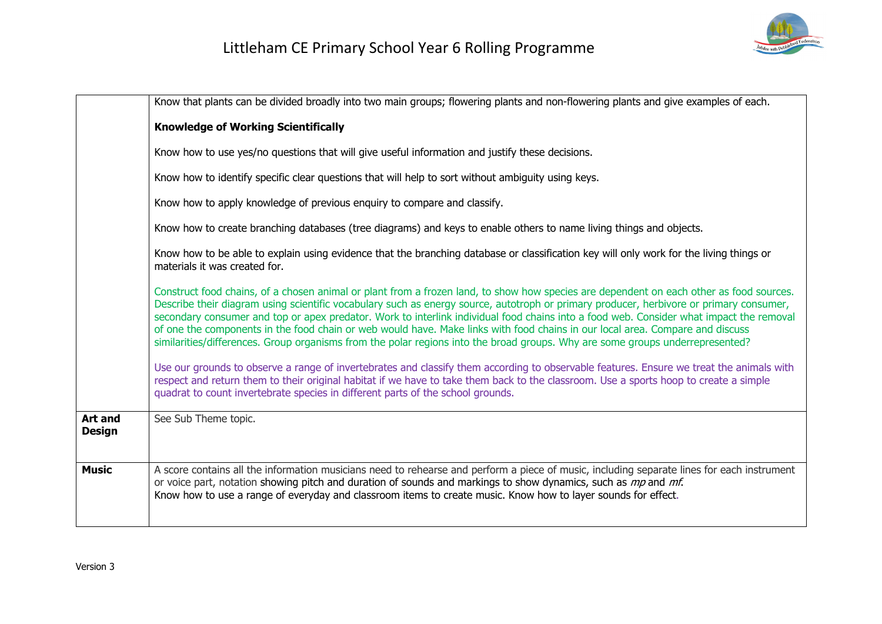

|                                 | Know that plants can be divided broadly into two main groups; flowering plants and non-flowering plants and give examples of each.                                                                                                                                                                                                                                                                                                                                                                                                                                                                                                                                                              |
|---------------------------------|-------------------------------------------------------------------------------------------------------------------------------------------------------------------------------------------------------------------------------------------------------------------------------------------------------------------------------------------------------------------------------------------------------------------------------------------------------------------------------------------------------------------------------------------------------------------------------------------------------------------------------------------------------------------------------------------------|
|                                 | <b>Knowledge of Working Scientifically</b>                                                                                                                                                                                                                                                                                                                                                                                                                                                                                                                                                                                                                                                      |
|                                 | Know how to use yes/no questions that will give useful information and justify these decisions.                                                                                                                                                                                                                                                                                                                                                                                                                                                                                                                                                                                                 |
|                                 | Know how to identify specific clear questions that will help to sort without ambiguity using keys.                                                                                                                                                                                                                                                                                                                                                                                                                                                                                                                                                                                              |
|                                 | Know how to apply knowledge of previous enquiry to compare and classify.                                                                                                                                                                                                                                                                                                                                                                                                                                                                                                                                                                                                                        |
|                                 | Know how to create branching databases (tree diagrams) and keys to enable others to name living things and objects.                                                                                                                                                                                                                                                                                                                                                                                                                                                                                                                                                                             |
|                                 | Know how to be able to explain using evidence that the branching database or classification key will only work for the living things or<br>materials it was created for.                                                                                                                                                                                                                                                                                                                                                                                                                                                                                                                        |
|                                 | Construct food chains, of a chosen animal or plant from a frozen land, to show how species are dependent on each other as food sources.<br>Describe their diagram using scientific vocabulary such as energy source, autotroph or primary producer, herbivore or primary consumer,<br>secondary consumer and top or apex predator. Work to interlink individual food chains into a food web. Consider what impact the removal<br>of one the components in the food chain or web would have. Make links with food chains in our local area. Compare and discuss<br>similarities/differences. Group organisms from the polar regions into the broad groups. Why are some groups underrepresented? |
|                                 | Use our grounds to observe a range of invertebrates and classify them according to observable features. Ensure we treat the animals with<br>respect and return them to their original habitat if we have to take them back to the classroom. Use a sports hoop to create a simple<br>quadrat to count invertebrate species in different parts of the school grounds.                                                                                                                                                                                                                                                                                                                            |
| <b>Art and</b><br><b>Design</b> | See Sub Theme topic.                                                                                                                                                                                                                                                                                                                                                                                                                                                                                                                                                                                                                                                                            |
| <b>Music</b>                    | A score contains all the information musicians need to rehearse and perform a piece of music, including separate lines for each instrument<br>or voice part, notation showing pitch and duration of sounds and markings to show dynamics, such as mp and mf.<br>Know how to use a range of everyday and classroom items to create music. Know how to layer sounds for effect.                                                                                                                                                                                                                                                                                                                   |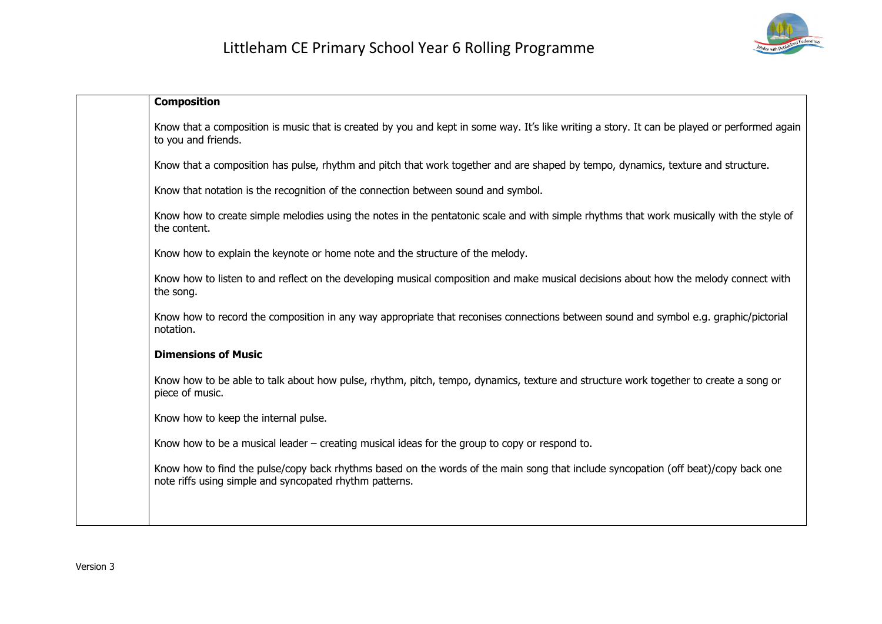

| <b>Composition</b>                                                                                                                                                                            |
|-----------------------------------------------------------------------------------------------------------------------------------------------------------------------------------------------|
| Know that a composition is music that is created by you and kept in some way. It's like writing a story. It can be played or performed again<br>to you and friends.                           |
| Know that a composition has pulse, rhythm and pitch that work together and are shaped by tempo, dynamics, texture and structure.                                                              |
| Know that notation is the recognition of the connection between sound and symbol.                                                                                                             |
| Know how to create simple melodies using the notes in the pentatonic scale and with simple rhythms that work musically with the style of<br>the content.                                      |
| Know how to explain the keynote or home note and the structure of the melody.                                                                                                                 |
| Know how to listen to and reflect on the developing musical composition and make musical decisions about how the melody connect with<br>the song.                                             |
| Know how to record the composition in any way appropriate that reconises connections between sound and symbol e.g. graphic/pictorial<br>notation.                                             |
| <b>Dimensions of Music</b>                                                                                                                                                                    |
| Know how to be able to talk about how pulse, rhythm, pitch, tempo, dynamics, texture and structure work together to create a song or<br>piece of music.                                       |
| Know how to keep the internal pulse.                                                                                                                                                          |
| Know how to be a musical leader $-$ creating musical ideas for the group to copy or respond to.                                                                                               |
| Know how to find the pulse/copy back rhythms based on the words of the main song that include syncopation (off beat)/copy back one<br>note riffs using simple and syncopated rhythm patterns. |
|                                                                                                                                                                                               |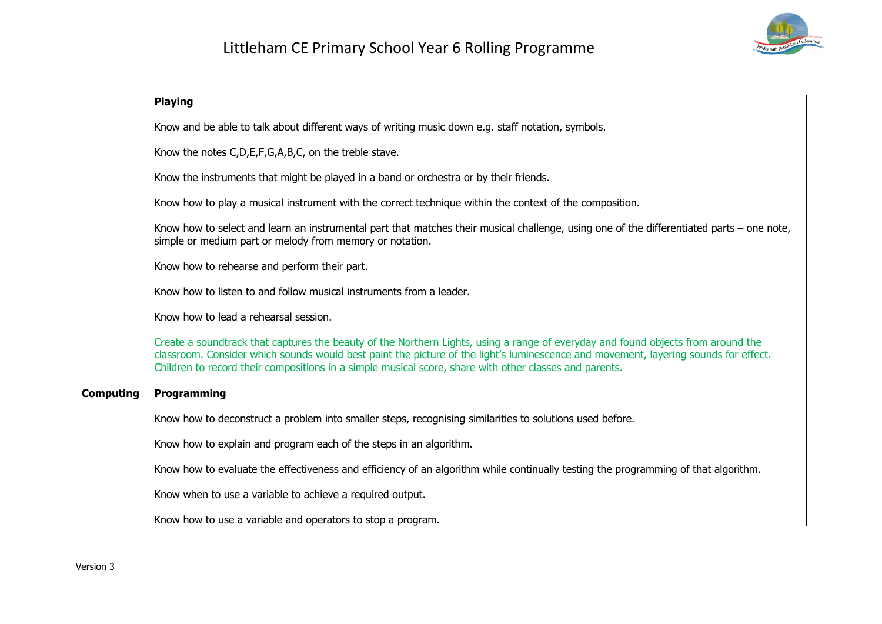

|                  | <b>Playing</b>                                                                                                                                                                                                                                                                                                                                                                    |
|------------------|-----------------------------------------------------------------------------------------------------------------------------------------------------------------------------------------------------------------------------------------------------------------------------------------------------------------------------------------------------------------------------------|
|                  | Know and be able to talk about different ways of writing music down e.g. staff notation, symbols.                                                                                                                                                                                                                                                                                 |
|                  | Know the notes C, D, E, F, G, A, B, C, on the treble stave.                                                                                                                                                                                                                                                                                                                       |
|                  | Know the instruments that might be played in a band or orchestra or by their friends.                                                                                                                                                                                                                                                                                             |
|                  | Know how to play a musical instrument with the correct technique within the context of the composition.                                                                                                                                                                                                                                                                           |
|                  | Know how to select and learn an instrumental part that matches their musical challenge, using one of the differentiated parts – one note,<br>simple or medium part or melody from memory or notation.                                                                                                                                                                             |
|                  | Know how to rehearse and perform their part.                                                                                                                                                                                                                                                                                                                                      |
|                  | Know how to listen to and follow musical instruments from a leader.                                                                                                                                                                                                                                                                                                               |
|                  | Know how to lead a rehearsal session.                                                                                                                                                                                                                                                                                                                                             |
|                  | Create a soundtrack that captures the beauty of the Northern Lights, using a range of everyday and found objects from around the<br>classroom. Consider which sounds would best paint the picture of the light's luminescence and movement, layering sounds for effect.<br>Children to record their compositions in a simple musical score, share with other classes and parents. |
| <b>Computing</b> | Programming                                                                                                                                                                                                                                                                                                                                                                       |
|                  | Know how to deconstruct a problem into smaller steps, recognising similarities to solutions used before.                                                                                                                                                                                                                                                                          |
|                  | Know how to explain and program each of the steps in an algorithm.                                                                                                                                                                                                                                                                                                                |
|                  | Know how to evaluate the effectiveness and efficiency of an algorithm while continually testing the programming of that algorithm.                                                                                                                                                                                                                                                |
|                  | Know when to use a variable to achieve a required output.                                                                                                                                                                                                                                                                                                                         |
|                  | Know how to use a variable and operators to stop a program.                                                                                                                                                                                                                                                                                                                       |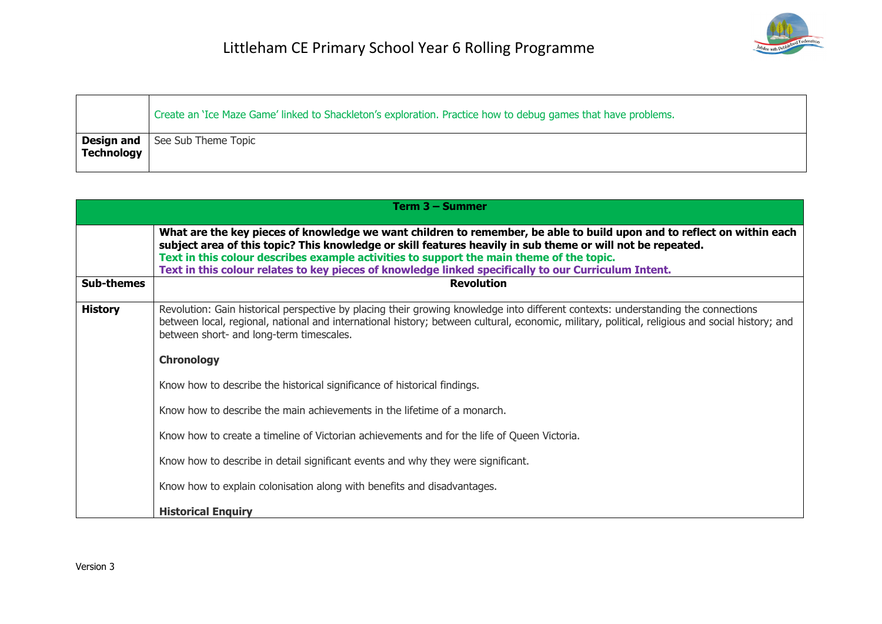|            | Create an 'Ice Maze Game' linked to Shackleton's exploration. Practice how to debug games that have problems. |
|------------|---------------------------------------------------------------------------------------------------------------|
| Technology | Design and See Sub Theme Topic                                                                                |

|                   | Term 3 - Summer                                                                                                                                                                                                                                                                                                                                                                                                                          |
|-------------------|------------------------------------------------------------------------------------------------------------------------------------------------------------------------------------------------------------------------------------------------------------------------------------------------------------------------------------------------------------------------------------------------------------------------------------------|
|                   | What are the key pieces of knowledge we want children to remember, be able to build upon and to reflect on within each<br>subject area of this topic? This knowledge or skill features heavily in sub theme or will not be repeated.<br>Text in this colour describes example activities to support the main theme of the topic.<br>Text in this colour relates to key pieces of knowledge linked specifically to our Curriculum Intent. |
| <b>Sub-themes</b> | <b>Revolution</b>                                                                                                                                                                                                                                                                                                                                                                                                                        |
| <b>History</b>    | Revolution: Gain historical perspective by placing their growing knowledge into different contexts: understanding the connections<br>between local, regional, national and international history; between cultural, economic, military, political, religious and social history; and<br>between short- and long-term timescales.                                                                                                         |
|                   | <b>Chronology</b>                                                                                                                                                                                                                                                                                                                                                                                                                        |
|                   | Know how to describe the historical significance of historical findings.                                                                                                                                                                                                                                                                                                                                                                 |
|                   | Know how to describe the main achievements in the lifetime of a monarch.                                                                                                                                                                                                                                                                                                                                                                 |
|                   | Know how to create a timeline of Victorian achievements and for the life of Queen Victoria.                                                                                                                                                                                                                                                                                                                                              |
|                   | Know how to describe in detail significant events and why they were significant.                                                                                                                                                                                                                                                                                                                                                         |
|                   | Know how to explain colonisation along with benefits and disadvantages.                                                                                                                                                                                                                                                                                                                                                                  |
|                   | <b>Historical Enquiry</b>                                                                                                                                                                                                                                                                                                                                                                                                                |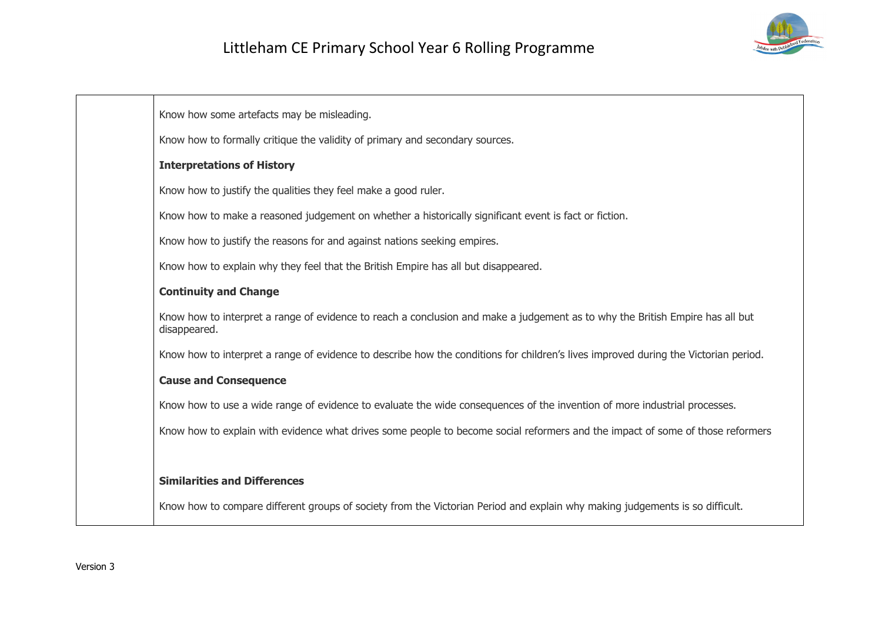

Know how some artefacts may be misleading.

Know how to formally critique the validity of primary and secondary sources.

#### **Interpretations of History**

Know how to justify the qualities they feel make a good ruler.

Know how to make a reasoned judgement on whether a historically significant event is fact or fiction.

Know how to justify the reasons for and against nations seeking empires.

Know how to explain why they feel that the British Empire has all but disappeared.

#### **Continuity and Change**

Know how to interpret a range of evidence to reach a conclusion and make a judgement as to why the British Empire has all but disappeared.

Know how to interpret a range of evidence to describe how the conditions for children's lives improved during the Victorian period.

#### **Cause and Consequence**

Know how to use a wide range of evidence to evaluate the wide consequences of the invention of more industrial processes.

Know how to explain with evidence what drives some people to become social reformers and the impact of some of those reformers

#### **Similarities and Differences**

Know how to compare different groups of society from the Victorian Period and explain why making judgements is so difficult.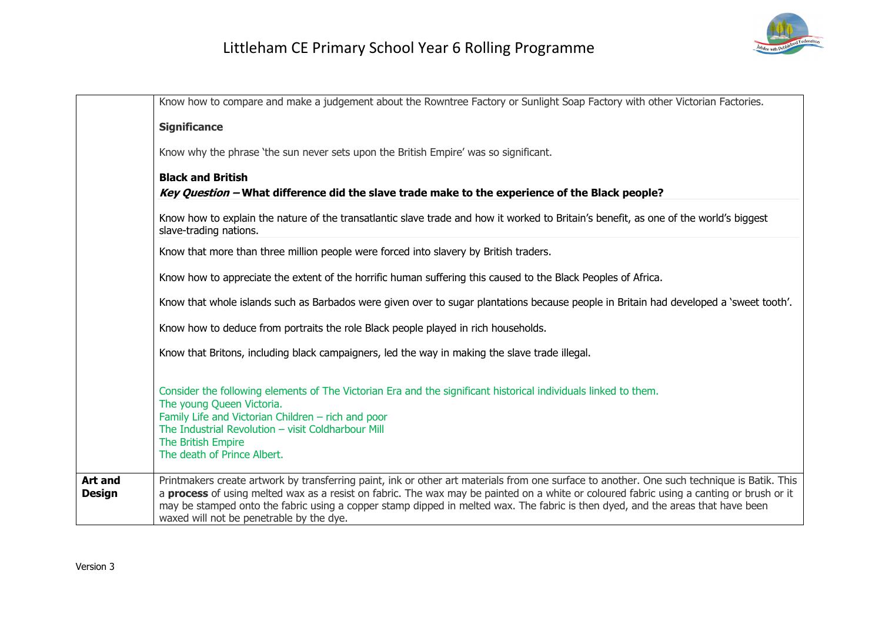|                                 | Know how to compare and make a judgement about the Rowntree Factory or Sunlight Soap Factory with other Victorian Factories.                                                                                                                                                                                                                                                                                                                                           |
|---------------------------------|------------------------------------------------------------------------------------------------------------------------------------------------------------------------------------------------------------------------------------------------------------------------------------------------------------------------------------------------------------------------------------------------------------------------------------------------------------------------|
|                                 |                                                                                                                                                                                                                                                                                                                                                                                                                                                                        |
|                                 | <b>Significance</b>                                                                                                                                                                                                                                                                                                                                                                                                                                                    |
|                                 | Know why the phrase 'the sun never sets upon the British Empire' was so significant.                                                                                                                                                                                                                                                                                                                                                                                   |
|                                 | <b>Black and British</b>                                                                                                                                                                                                                                                                                                                                                                                                                                               |
|                                 | Key Question - What difference did the slave trade make to the experience of the Black people?                                                                                                                                                                                                                                                                                                                                                                         |
|                                 | Know how to explain the nature of the transatlantic slave trade and how it worked to Britain's benefit, as one of the world's biggest<br>slave-trading nations.                                                                                                                                                                                                                                                                                                        |
|                                 | Know that more than three million people were forced into slavery by British traders.                                                                                                                                                                                                                                                                                                                                                                                  |
|                                 | Know how to appreciate the extent of the horrific human suffering this caused to the Black Peoples of Africa.                                                                                                                                                                                                                                                                                                                                                          |
|                                 | Know that whole islands such as Barbados were given over to sugar plantations because people in Britain had developed a 'sweet tooth'.                                                                                                                                                                                                                                                                                                                                 |
|                                 | Know how to deduce from portraits the role Black people played in rich households.                                                                                                                                                                                                                                                                                                                                                                                     |
|                                 | Know that Britons, including black campaigners, led the way in making the slave trade illegal.                                                                                                                                                                                                                                                                                                                                                                         |
|                                 | Consider the following elements of The Victorian Era and the significant historical individuals linked to them.<br>The young Queen Victoria.<br>Family Life and Victorian Children - rich and poor<br>The Industrial Revolution - visit Coldharbour Mill<br>The British Empire<br>The death of Prince Albert.                                                                                                                                                          |
| <b>Art and</b><br><b>Design</b> | Printmakers create artwork by transferring paint, ink or other art materials from one surface to another. One such technique is Batik. This<br>a process of using melted wax as a resist on fabric. The wax may be painted on a white or coloured fabric using a canting or brush or it<br>may be stamped onto the fabric using a copper stamp dipped in melted wax. The fabric is then dyed, and the areas that have been<br>waxed will not be penetrable by the dye. |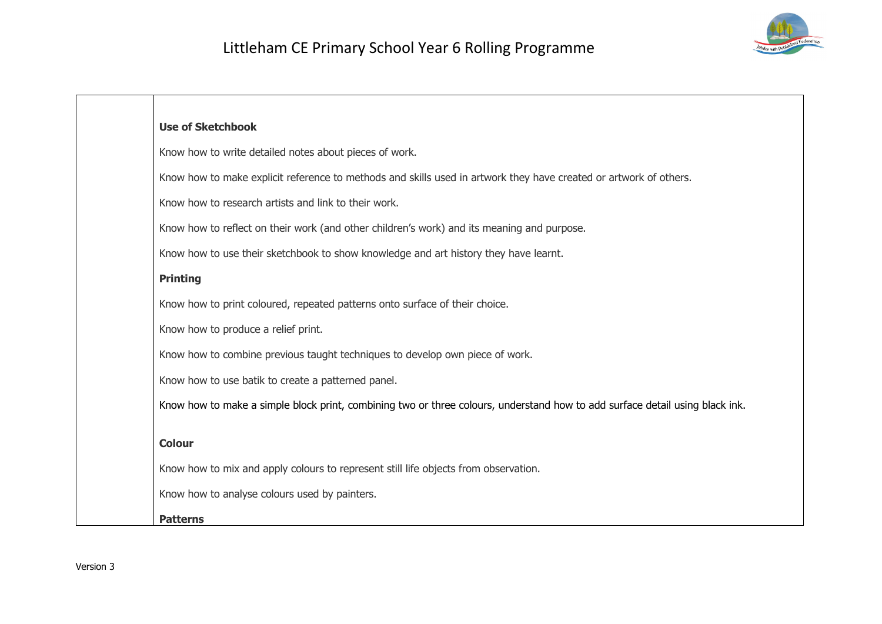

| <b>Use of Sketchbook</b>                                                                                                     |
|------------------------------------------------------------------------------------------------------------------------------|
| Know how to write detailed notes about pieces of work.                                                                       |
| Know how to make explicit reference to methods and skills used in artwork they have created or artwork of others.            |
| Know how to research artists and link to their work.                                                                         |
| Know how to reflect on their work (and other children's work) and its meaning and purpose.                                   |
| Know how to use their sketchbook to show knowledge and art history they have learnt.                                         |
| <b>Printing</b>                                                                                                              |
| Know how to print coloured, repeated patterns onto surface of their choice.                                                  |
| Know how to produce a relief print.                                                                                          |
| Know how to combine previous taught techniques to develop own piece of work.                                                 |
| Know how to use batik to create a patterned panel.                                                                           |
| Know how to make a simple block print, combining two or three colours, understand how to add surface detail using black ink. |
|                                                                                                                              |
| <b>Colour</b>                                                                                                                |
| Know how to mix and apply colours to represent still life objects from observation.                                          |
| Know how to analyse colours used by painters.                                                                                |
| <b>Patterns</b>                                                                                                              |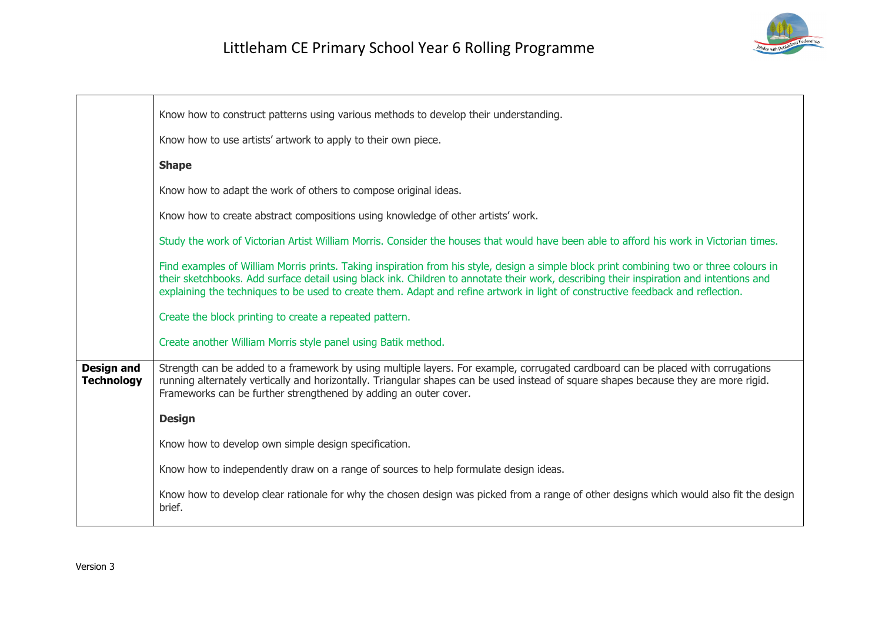

|                                        | Know how to construct patterns using various methods to develop their understanding.                                                                                                                                                                                                                                                                                                                                   |
|----------------------------------------|------------------------------------------------------------------------------------------------------------------------------------------------------------------------------------------------------------------------------------------------------------------------------------------------------------------------------------------------------------------------------------------------------------------------|
|                                        | Know how to use artists' artwork to apply to their own piece.                                                                                                                                                                                                                                                                                                                                                          |
|                                        | <b>Shape</b>                                                                                                                                                                                                                                                                                                                                                                                                           |
|                                        | Know how to adapt the work of others to compose original ideas.                                                                                                                                                                                                                                                                                                                                                        |
|                                        | Know how to create abstract compositions using knowledge of other artists' work.                                                                                                                                                                                                                                                                                                                                       |
|                                        | Study the work of Victorian Artist William Morris. Consider the houses that would have been able to afford his work in Victorian times.                                                                                                                                                                                                                                                                                |
|                                        | Find examples of William Morris prints. Taking inspiration from his style, design a simple block print combining two or three colours in<br>their sketchbooks. Add surface detail using black ink. Children to annotate their work, describing their inspiration and intentions and<br>explaining the techniques to be used to create them. Adapt and refine artwork in light of constructive feedback and reflection. |
|                                        | Create the block printing to create a repeated pattern.                                                                                                                                                                                                                                                                                                                                                                |
|                                        | Create another William Morris style panel using Batik method.                                                                                                                                                                                                                                                                                                                                                          |
| <b>Design and</b><br><b>Technology</b> | Strength can be added to a framework by using multiple layers. For example, corrugated cardboard can be placed with corrugations<br>running alternately vertically and horizontally. Triangular shapes can be used instead of square shapes because they are more rigid.<br>Frameworks can be further strengthened by adding an outer cover.                                                                           |
|                                        | <b>Design</b>                                                                                                                                                                                                                                                                                                                                                                                                          |
|                                        | Know how to develop own simple design specification.                                                                                                                                                                                                                                                                                                                                                                   |
|                                        | Know how to independently draw on a range of sources to help formulate design ideas.                                                                                                                                                                                                                                                                                                                                   |
|                                        | Know how to develop clear rationale for why the chosen design was picked from a range of other designs which would also fit the design<br>brief.                                                                                                                                                                                                                                                                       |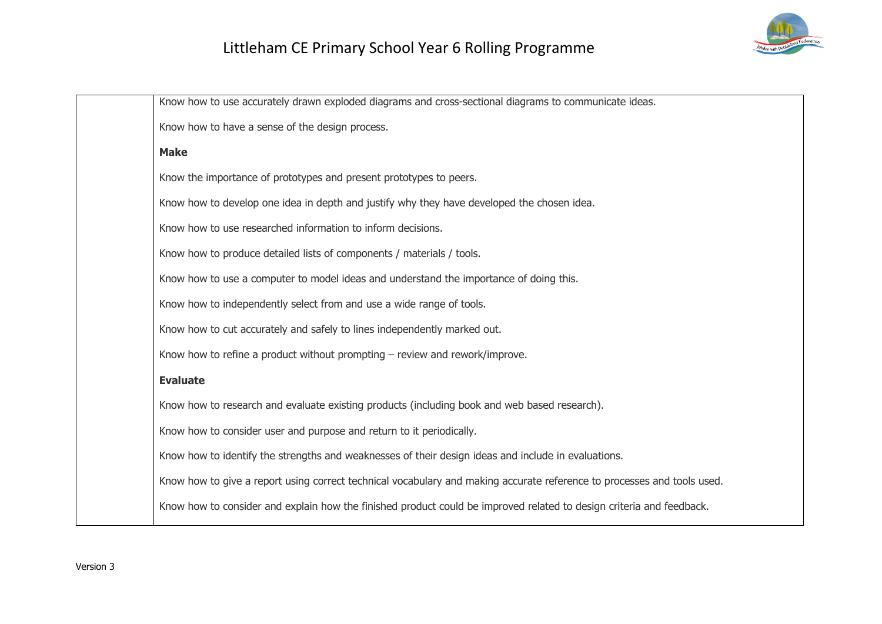

| Know how to use accurately drawn exploded diagrams and cross-sectional diagrams to communicate ideas.                   |
|-------------------------------------------------------------------------------------------------------------------------|
| Know how to have a sense of the design process.                                                                         |
| <b>Make</b>                                                                                                             |
| Know the importance of prototypes and present prototypes to peers.                                                      |
| Know how to develop one idea in depth and justify why they have developed the chosen idea.                              |
| Know how to use researched information to inform decisions.                                                             |
| Know how to produce detailed lists of components / materials / tools.                                                   |
| Know how to use a computer to model ideas and understand the importance of doing this.                                  |
| Know how to independently select from and use a wide range of tools.                                                    |
| Know how to cut accurately and safely to lines independently marked out.                                                |
| Know how to refine a product without prompting $-$ review and rework/improve.                                           |
| <b>Evaluate</b>                                                                                                         |
| Know how to research and evaluate existing products (including book and web based research).                            |
| Know how to consider user and purpose and return to it periodically.                                                    |
| Know how to identify the strengths and weaknesses of their design ideas and include in evaluations.                     |
| Know how to give a report using correct technical vocabulary and making accurate reference to processes and tools used. |
| Know how to consider and explain how the finished product could be improved related to design criteria and feedback.    |
|                                                                                                                         |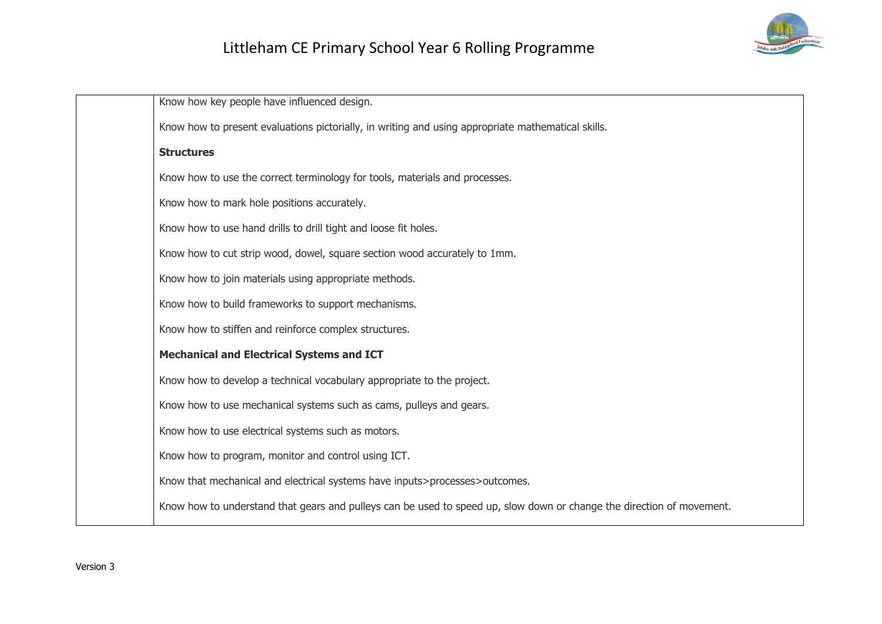

| Know how key people have influenced design.                                                                           |
|-----------------------------------------------------------------------------------------------------------------------|
| Know how to present evaluations pictorially, in writing and using appropriate mathematical skills.                    |
| <b>Structures</b>                                                                                                     |
| Know how to use the correct terminology for tools, materials and processes.                                           |
| Know how to mark hole positions accurately.                                                                           |
| Know how to use hand drills to drill tight and loose fit holes.                                                       |
| Know how to cut strip wood, dowel, square section wood accurately to 1mm.                                             |
| Know how to join materials using appropriate methods.                                                                 |
| Know how to build frameworks to support mechanisms.                                                                   |
| Know how to stiffen and reinforce complex structures.                                                                 |
| <b>Mechanical and Electrical Systems and ICT</b>                                                                      |
| Know how to develop a technical vocabulary appropriate to the project.                                                |
| Know how to use mechanical systems such as cams, pulleys and gears.                                                   |
| Know how to use electrical systems such as motors.                                                                    |
| Know how to program, monitor and control using ICT.                                                                   |
| Know that mechanical and electrical systems have inputs>processes>outcomes.                                           |
| Know how to understand that gears and pulleys can be used to speed up, slow down or change the direction of movement. |
|                                                                                                                       |